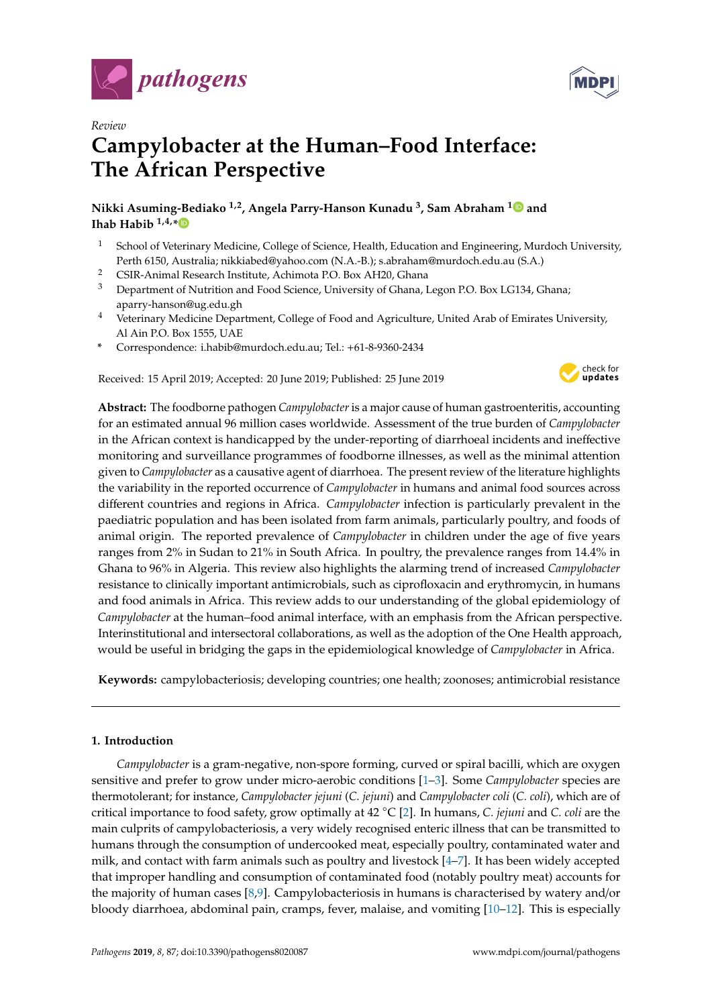



# *Review* **Campylobacter at the Human–Food Interface: The African Perspective**

**Nikki Asuming-Bediako 1,2, Angela Parry-Hanson Kunadu <sup>3</sup> , Sam Abraham [1](https://orcid.org/0000-0003-0950-2317) and Ihab** Habib<sup> $1,4,*$  $1,4,*$ </sup>

- <sup>1</sup> School of Veterinary Medicine, College of Science, Health, Education and Engineering, Murdoch University, Perth 6150, Australia; nikkiabed@yahoo.com (N.A.-B.); s.abraham@murdoch.edu.au (S.A.)
- <sup>2</sup> CSIR-Animal Research Institute, Achimota P.O. Box AH20, Ghana
- <sup>3</sup> Department of Nutrition and Food Science, University of Ghana, Legon P.O. Box LG134, Ghana; aparry-hanson@ug.edu.gh
- <sup>4</sup> Veterinary Medicine Department, College of Food and Agriculture, United Arab of Emirates University, Al Ain P.O. Box 1555, UAE
- **\*** Correspondence: i.habib@murdoch.edu.au; Tel.: +61-8-9360-2434

Received: 15 April 2019; Accepted: 20 June 2019; Published: 25 June 2019



**Abstract:** The foodborne pathogen *Campylobacter*is a major cause of human gastroenteritis, accounting for an estimated annual 96 million cases worldwide. Assessment of the true burden of *Campylobacter* in the African context is handicapped by the under-reporting of diarrhoeal incidents and ineffective monitoring and surveillance programmes of foodborne illnesses, as well as the minimal attention given to *Campylobacter* as a causative agent of diarrhoea. The present review of the literature highlights the variability in the reported occurrence of *Campylobacter* in humans and animal food sources across different countries and regions in Africa. *Campylobacter* infection is particularly prevalent in the paediatric population and has been isolated from farm animals, particularly poultry, and foods of animal origin. The reported prevalence of *Campylobacter* in children under the age of five years ranges from 2% in Sudan to 21% in South Africa. In poultry, the prevalence ranges from 14.4% in Ghana to 96% in Algeria. This review also highlights the alarming trend of increased *Campylobacter* resistance to clinically important antimicrobials, such as ciprofloxacin and erythromycin, in humans and food animals in Africa. This review adds to our understanding of the global epidemiology of *Campylobacter* at the human–food animal interface, with an emphasis from the African perspective. Interinstitutional and intersectoral collaborations, as well as the adoption of the One Health approach, would be useful in bridging the gaps in the epidemiological knowledge of *Campylobacter* in Africa.

**Keywords:** campylobacteriosis; developing countries; one health; zoonoses; antimicrobial resistance

# **1. Introduction**

*Campylobacter* is a gram-negative, non-spore forming, curved or spiral bacilli, which are oxygen sensitive and prefer to grow under micro-aerobic conditions [\[1–](#page-25-0)[3\]](#page-25-1). Some *Campylobacter* species are thermotolerant; for instance, *Campylobacter jejuni* (*C. jejuni*) and *Campylobacter coli* (*C. coli*), which are of critical importance to food safety, grow optimally at 42 ◦C [\[2\]](#page-25-2). In humans, *C. jejuni* and *C. coli* are the main culprits of campylobacteriosis, a very widely recognised enteric illness that can be transmitted to humans through the consumption of undercooked meat, especially poultry, contaminated water and milk, and contact with farm animals such as poultry and livestock [\[4–](#page-25-3)[7\]](#page-25-4). It has been widely accepted that improper handling and consumption of contaminated food (notably poultry meat) accounts for the majority of human cases [\[8,](#page-25-5)[9\]](#page-25-6). Campylobacteriosis in humans is characterised by watery and/or bloody diarrhoea, abdominal pain, cramps, fever, malaise, and vomiting [\[10–](#page-25-7)[12\]](#page-25-8). This is especially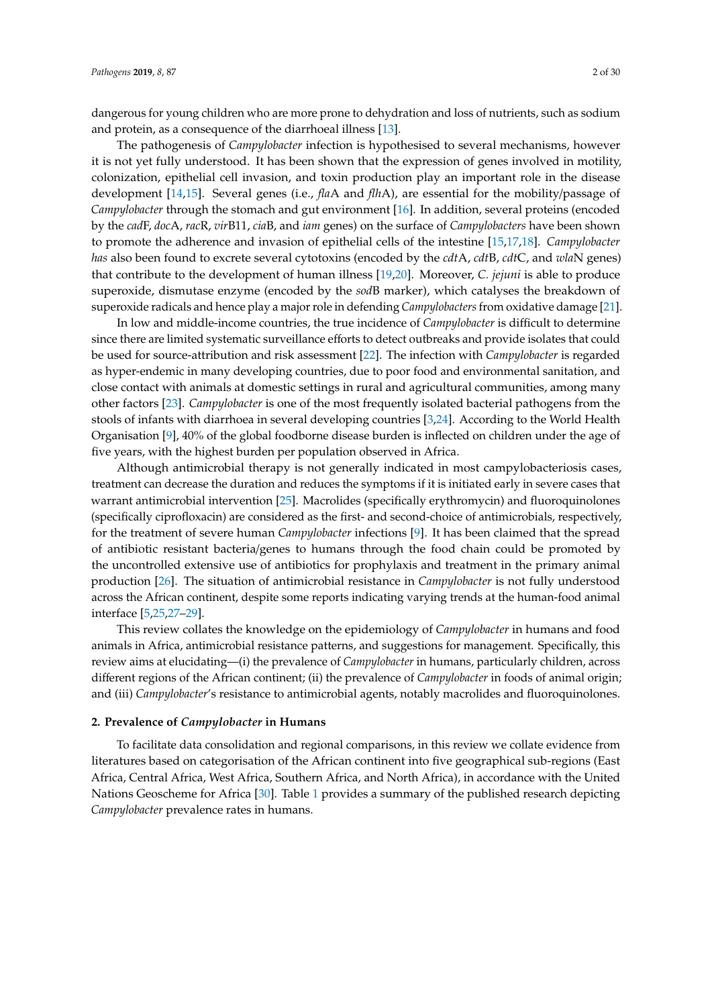dangerous for young children who are more prone to dehydration and loss of nutrients, such as sodium and protein, as a consequence of the diarrhoeal illness [\[13\]](#page-25-9).

The pathogenesis of *Campylobacter* infection is hypothesised to several mechanisms, however it is not yet fully understood. It has been shown that the expression of genes involved in motility, colonization, epithelial cell invasion, and toxin production play an important role in the disease development [\[14](#page-25-10)[,15\]](#page-25-11). Several genes (i.e., *fla*A and *flh*A), are essential for the mobility/passage of *Campylobacter* through the stomach and gut environment [\[16\]](#page-25-12). In addition, several proteins (encoded by the *cad*F, *doc*A, *rac*R, *vir*B11, *cia*B, and *iam* genes) on the surface of *Campylobacters* have been shown to promote the adherence and invasion of epithelial cells of the intestine [\[15](#page-25-11)[,17](#page-25-13)[,18\]](#page-25-14). *Campylobacter has* also been found to excrete several cytotoxins (encoded by the *cdt*A, *cdt*B, *cdt*C, and *wla*N genes) that contribute to the development of human illness [\[19](#page-25-15)[,20\]](#page-25-16). Moreover, *C. jejuni* is able to produce superoxide, dismutase enzyme (encoded by the *sod*B marker), which catalyses the breakdown of superoxide radicals and hence play a major role in defending *Campylobacters*from oxidative damage [\[21\]](#page-25-17).

In low and middle-income countries, the true incidence of *Campylobacter* is difficult to determine since there are limited systematic surveillance efforts to detect outbreaks and provide isolates that could be used for source-attribution and risk assessment [\[22\]](#page-26-0). The infection with *Campylobacter* is regarded as hyper-endemic in many developing countries, due to poor food and environmental sanitation, and close contact with animals at domestic settings in rural and agricultural communities, among many other factors [\[23\]](#page-26-1). *Campylobacter* is one of the most frequently isolated bacterial pathogens from the stools of infants with diarrhoea in several developing countries [\[3](#page-25-1)[,24\]](#page-26-2). According to the World Health Organisation [\[9\]](#page-25-6), 40% of the global foodborne disease burden is inflected on children under the age of five years, with the highest burden per population observed in Africa.

Although antimicrobial therapy is not generally indicated in most campylobacteriosis cases, treatment can decrease the duration and reduces the symptoms if it is initiated early in severe cases that warrant antimicrobial intervention [\[25\]](#page-26-3). Macrolides (specifically erythromycin) and fluoroquinolones (specifically ciprofloxacin) are considered as the first- and second-choice of antimicrobials, respectively, for the treatment of severe human *Campylobacter* infections [\[9\]](#page-25-6). It has been claimed that the spread of antibiotic resistant bacteria/genes to humans through the food chain could be promoted by the uncontrolled extensive use of antibiotics for prophylaxis and treatment in the primary animal production [\[26\]](#page-26-4). The situation of antimicrobial resistance in *Campylobacter* is not fully understood across the African continent, despite some reports indicating varying trends at the human-food animal interface [\[5](#page-25-18)[,25](#page-26-3)[,27](#page-26-5)[–29\]](#page-26-6).

This review collates the knowledge on the epidemiology of *Campylobacter* in humans and food animals in Africa, antimicrobial resistance patterns, and suggestions for management. Specifically, this review aims at elucidating—(i) the prevalence of *Campylobacter* in humans, particularly children, across different regions of the African continent; (ii) the prevalence of *Campylobacter* in foods of animal origin; and (iii) *Campylobacter*'s resistance to antimicrobial agents, notably macrolides and fluoroquinolones.

#### **2. Prevalence of** *Campylobacter* **in Humans**

To facilitate data consolidation and regional comparisons, in this review we collate evidence from literatures based on categorisation of the African continent into five geographical sub-regions (East Africa, Central Africa, West Africa, Southern Africa, and North Africa), in accordance with the United Nations Geoscheme for Africa [\[30\]](#page-26-7). Table [1](#page-5-0) provides a summary of the published research depicting *Campylobacter* prevalence rates in humans.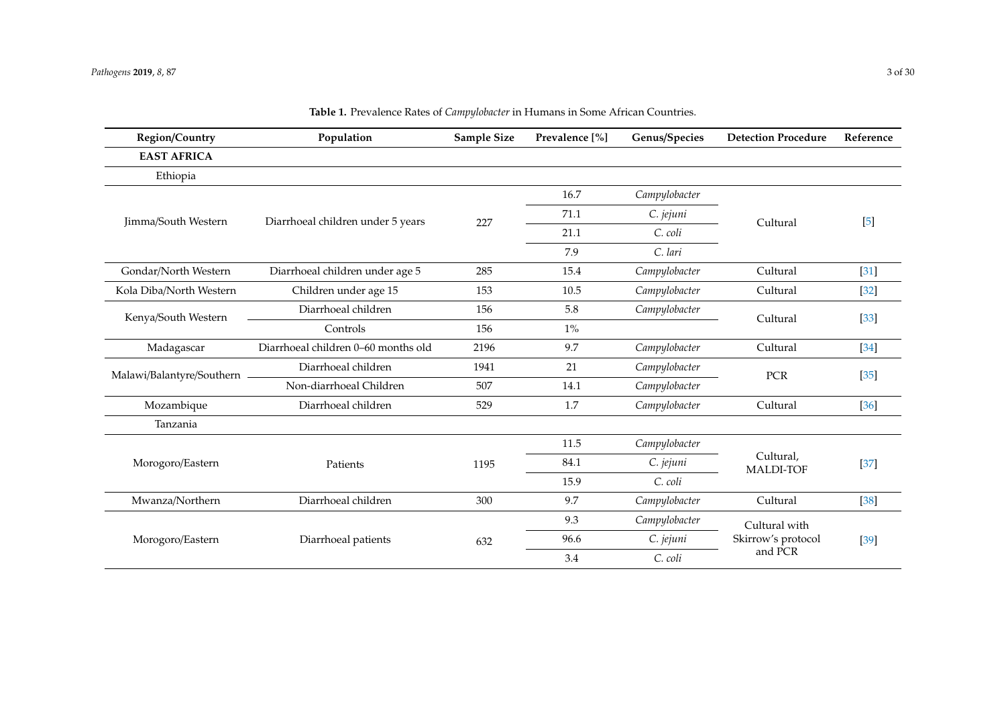| Region/Country            | Population                          | Sample Size | Prevalence [%] | Genus/Species | <b>Detection Procedure</b>    | Reference |
|---------------------------|-------------------------------------|-------------|----------------|---------------|-------------------------------|-----------|
| <b>EAST AFRICA</b>        |                                     |             |                |               |                               |           |
| Ethiopia                  |                                     |             |                |               |                               |           |
|                           |                                     |             | 16.7           | Campylobacter |                               |           |
| Jimma/South Western       | Diarrhoeal children under 5 years   | 227         | 71.1           | C. jejuni     | Cultural                      | $[5]$     |
|                           |                                     |             | 21.1           | C. coli       |                               |           |
|                           |                                     |             | 7.9            | C. lari       |                               |           |
| Gondar/North Western      | Diarrhoeal children under age 5     | 285         | 15.4           | Campylobacter | Cultural                      | $[31]$    |
| Kola Diba/North Western   | Children under age 15               | 153         | 10.5           | Campylobacter | Cultural                      | $[32]$    |
| Kenya/South Western       | Diarrhoeal children                 | 156         | 5.8            | Campylobacter | Cultural                      | $[33]$    |
|                           | Controls                            | 156         | $1\%$          |               |                               |           |
| Madagascar                | Diarrhoeal children 0-60 months old | 2196        | 9.7            | Campylobacter | Cultural                      | $[34]$    |
| Malawi/Balantyre/Southern | Diarrhoeal children                 | 1941        | 21             | Campylobacter | PCR                           | $[35]$    |
|                           | Non-diarrhoeal Children             | 507         | 14.1           | Campylobacter |                               |           |
| Mozambique                | Diarrhoeal children                 | 529         | 1.7            | Campylobacter | Cultural                      | $[36]$    |
| Tanzania                  |                                     |             |                |               |                               |           |
|                           |                                     |             | 11.5           | Campylobacter |                               |           |
| Morogoro/Eastern          | Patients                            | 1195        | 84.1           | C. jejuni     | Cultural,<br><b>MALDI-TOF</b> | $[37]$    |
|                           |                                     |             | 15.9           | C. coli       |                               |           |
| Mwanza/Northern           | Diarrhoeal children                 | 300         | 9.7            | Campylobacter | Cultural                      | $[38]$    |
|                           |                                     |             | 9.3            | Campylobacter | Cultural with                 |           |
| Morogoro/Eastern          | Diarrhoeal patients                 | 632         | 96.6           | C. jejuni     | Skirrow's protocol            | $[39]$    |
|                           |                                     |             | 3.4            | C. coli       | and PCR                       |           |

**Table 1.** Prevalence Rates of *Campylobacter* in Humans in Some African Countries.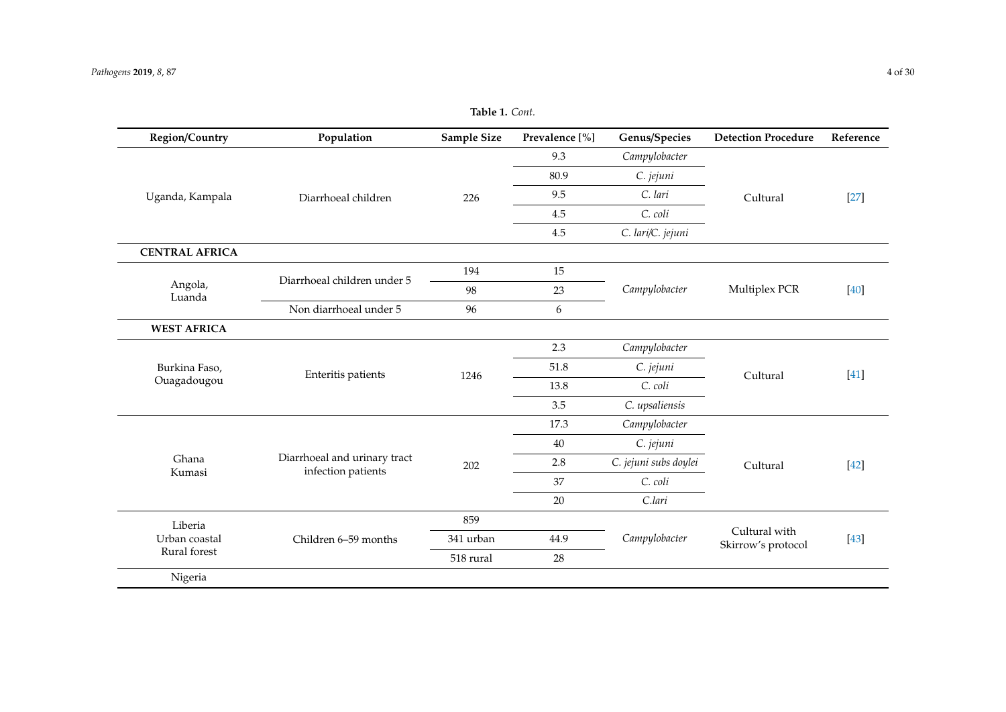| Region/Country        | Population                                         | Sample Size | Prevalence [%] | Genus/Species         | <b>Detection Procedure</b>          | Reference |
|-----------------------|----------------------------------------------------|-------------|----------------|-----------------------|-------------------------------------|-----------|
|                       |                                                    |             | 9.3            | Campylobacter         |                                     |           |
|                       |                                                    |             | 80.9           | C. jejuni             |                                     |           |
| Uganda, Kampala       | Diarrhoeal children                                | 226         | 9.5            | C. lari               | Cultural                            | $[27]$    |
|                       |                                                    |             | 4.5            | C. coli               |                                     |           |
|                       |                                                    |             | $4.5\,$        | C. lari/C. jejuni     |                                     |           |
| <b>CENTRAL AFRICA</b> |                                                    |             |                |                       |                                     |           |
|                       | Diarrhoeal children under 5                        | 194         | 15             |                       |                                     |           |
| Angola,<br>Luanda     |                                                    | 98          | 23             | Campylobacter         | Multiplex PCR                       | $[40]$    |
|                       | Non diarrhoeal under 5                             | 96          | 6              |                       |                                     |           |
| <b>WEST AFRICA</b>    |                                                    |             |                |                       |                                     |           |
|                       |                                                    |             | 2.3            | Campylobacter         |                                     |           |
| Burkina Faso,         | Enteritis patients                                 | 1246        | 51.8           | C. jejuni             |                                     | $[41]$    |
| Ouagadougou           |                                                    |             | 13.8           | C. coli               |                                     |           |
|                       |                                                    |             | 3.5            | C. upsaliensis        | Cultural                            |           |
|                       |                                                    |             | 17.3           | Campylobacter         |                                     |           |
|                       |                                                    |             | 40             | C. jejuni             |                                     |           |
| Ghana<br>Kumasi       | Diarrhoeal and urinary tract<br>infection patients | 202         | 2.8            | C. jejuni subs doylei | Cultural                            | $[42]$    |
|                       |                                                    |             | 37             | C. coli               |                                     |           |
|                       |                                                    |             | 20             | C.lari                |                                     |           |
| Liberia               |                                                    | 859         |                |                       |                                     |           |
| Urban coastal         | Children 6-59 months                               | 341 urban   | 44.9           | Campylobacter         | Cultural with<br>Skirrow's protocol | $[43]$    |
| Rural forest          |                                                    | 518 rural   | 28             |                       |                                     |           |
| Nigeria               |                                                    |             |                |                       |                                     |           |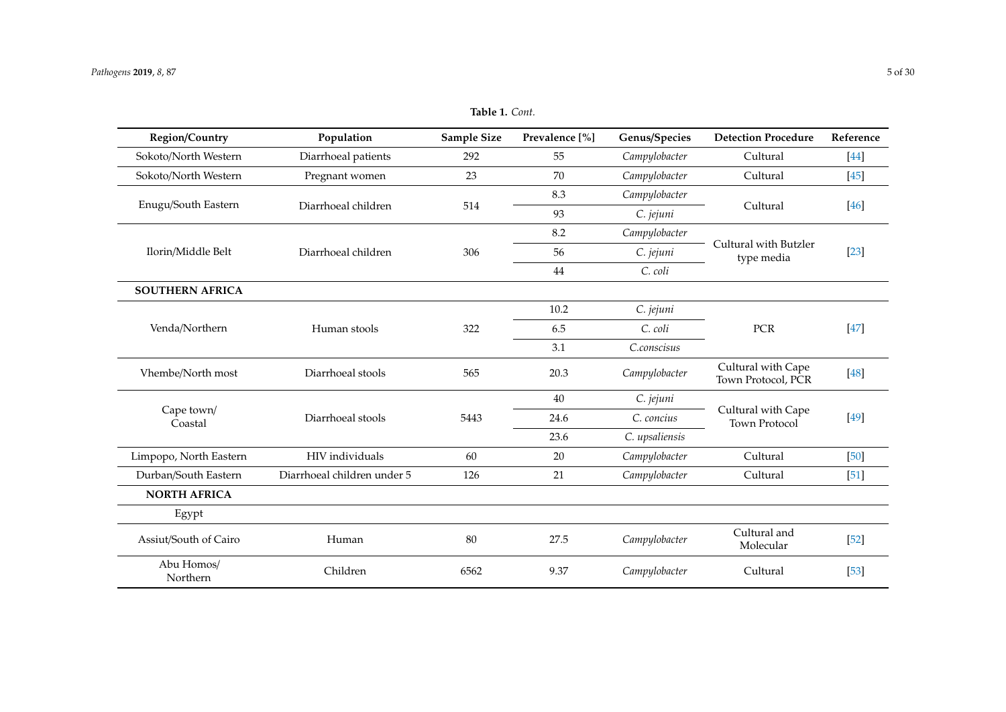| <b>Region/Country</b>  | Population                  | <b>Sample Size</b> | Prevalence [%] | Genus/Species  | <b>Detection Procedure</b>                                                                                                                                               | Reference |
|------------------------|-----------------------------|--------------------|----------------|----------------|--------------------------------------------------------------------------------------------------------------------------------------------------------------------------|-----------|
| Sokoto/North Western   | Diarrhoeal patients         | 292                | 55             | Campylobacter  | Cultural                                                                                                                                                                 | $[44]$    |
| Sokoto/North Western   | Pregnant women              | 23                 | 70             | Campylobacter  | Cultural                                                                                                                                                                 | $[45]$    |
|                        |                             |                    | 8.3            | Campylobacter  |                                                                                                                                                                          |           |
| Enugu/South Eastern    | Diarrhoeal children         | 514                | 93             | C. jejuni      |                                                                                                                                                                          | $[46]$    |
|                        |                             |                    | 8.2            | Campylobacter  |                                                                                                                                                                          |           |
| Ilorin/Middle Belt     | Diarrhoeal children         | 306                | 56             | C. jejuni      | Cultural<br>Cultural with Butzler<br>type media<br>PCR<br>Cultural with Cape<br>Town Protocol, PCR<br>Cultural with Cape<br><b>Town Protocol</b><br>Cultural<br>Cultural | $[23]$    |
|                        |                             |                    | 44             | C. coli        |                                                                                                                                                                          |           |
| <b>SOUTHERN AFRICA</b> |                             |                    |                |                |                                                                                                                                                                          |           |
|                        |                             |                    | 10.2           | C. jejuni      |                                                                                                                                                                          |           |
| Venda/Northern         | Human stools                | 322                | 6.5            | C. coli        | C.conscisus                                                                                                                                                              | $[47]$    |
|                        |                             |                    | 3.1            |                |                                                                                                                                                                          |           |
| Vhembe/North most      | Diarrhoeal stools           | 565                | 20.3           | Campylobacter  |                                                                                                                                                                          | $[48]$    |
|                        |                             |                    | 40             | C. jejuni      |                                                                                                                                                                          |           |
| Cape town/<br>Coastal  | Diarrhoeal stools           | 5443               | 24.6           | C. concius     |                                                                                                                                                                          | $[49]$    |
|                        |                             |                    | 23.6           | C. upsaliensis |                                                                                                                                                                          |           |
| Limpopo, North Eastern | HIV individuals             | 60                 | 20             | Campylobacter  |                                                                                                                                                                          | $[50]$    |
| Durban/South Eastern   | Diarrhoeal children under 5 | 126                | 21             | Campylobacter  |                                                                                                                                                                          | [51]      |
| <b>NORTH AFRICA</b>    |                             |                    |                |                |                                                                                                                                                                          |           |
| Egypt                  |                             |                    |                |                |                                                                                                                                                                          |           |
| Assiut/South of Cairo  | Human                       | 80                 | 27.5           | Campylobacter  | Cultural and<br>Molecular                                                                                                                                                | $[52]$    |
| Abu Homos/<br>Northern | Children                    | 6562               | 9.37           | Campylobacter  | Cultural                                                                                                                                                                 | $[53]$    |

**Table 1.** *Cont.*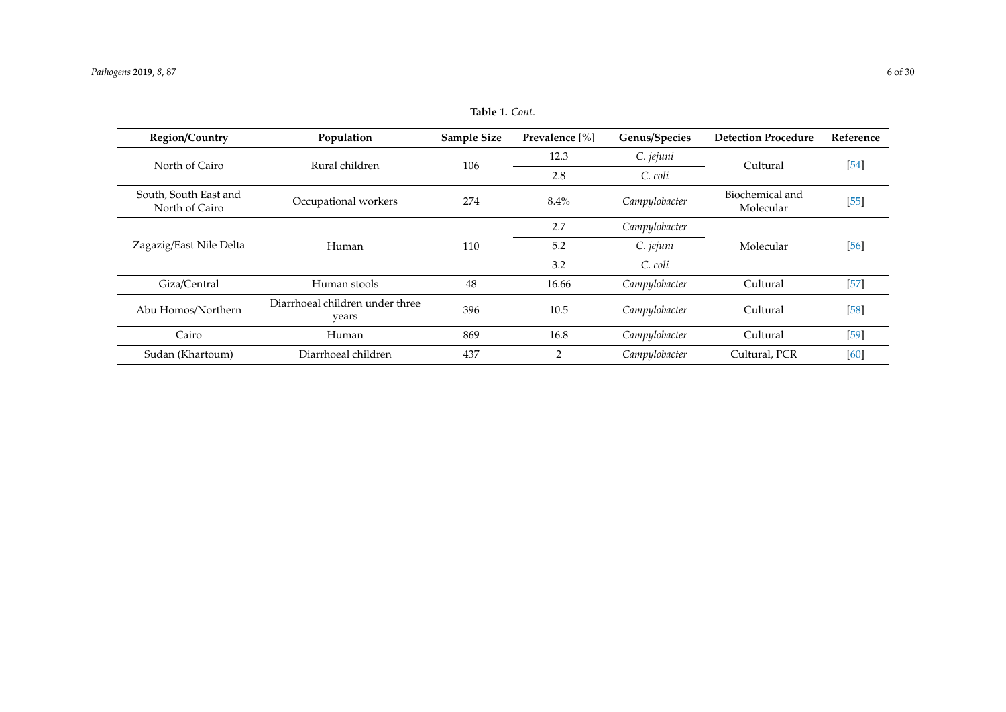<span id="page-5-0"></span>

| Region/Country                          | Population                               | Sample Size | Prevalence [%] | Genus/Species | <b>Detection Procedure</b>   | Reference |
|-----------------------------------------|------------------------------------------|-------------|----------------|---------------|------------------------------|-----------|
| North of Cairo                          | Rural children                           | 106         | 12.3           | C. jejuni     | Cultural                     | [54]      |
|                                         |                                          |             | 2.8            | C. coli       |                              |           |
| South, South East and<br>North of Cairo | Occupational workers                     | 274         | 8.4%           | Campylobacter | Biochemical and<br>Molecular | $[55]$    |
|                                         |                                          |             | 2.7            | Campylobacter |                              |           |
| Zagazig/East Nile Delta                 | Human                                    | 110         | 5.2            | C. jejuni     | Molecular                    | [56]      |
|                                         |                                          |             | 3.2            | C. coli       |                              |           |
| Giza/Central                            | Human stools                             | 48          | 16.66          | Campylobacter | Cultural                     | $[57]$    |
| Abu Homos/Northern                      | Diarrhoeal children under three<br>years | 396         | 10.5           | Campylobacter | Cultural                     | [58]      |
| Cairo                                   | Human                                    | 869         | 16.8           | Campylobacter | Cultural                     | $[59]$    |
| Sudan (Khartoum)                        | Diarrhoeal children                      | 437         | 2              | Campylobacter | Cultural, PCR                | [60]      |

# **Table 1.** *Cont.*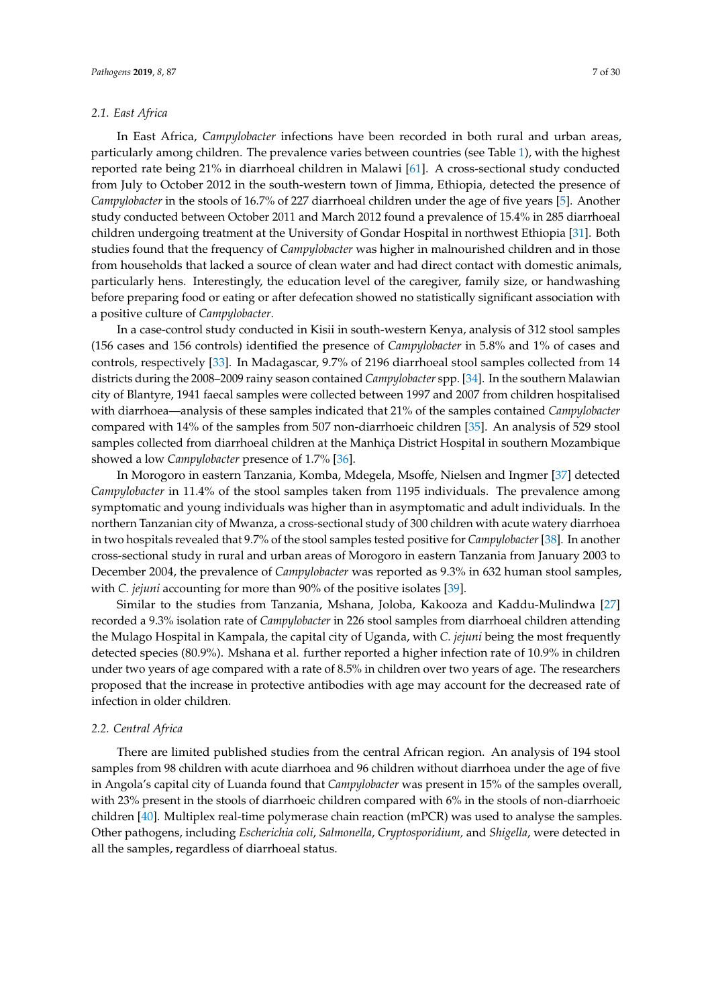## *2.1. East Africa*

In East Africa, *Campylobacter* infections have been recorded in both rural and urban areas, particularly among children. The prevalence varies between countries (see Table [1\)](#page-5-0), with the highest reported rate being 21% in diarrhoeal children in Malawi [\[61\]](#page-27-18). A cross-sectional study conducted from July to October 2012 in the south-western town of Jimma, Ethiopia, detected the presence of *Campylobacter* in the stools of 16.7% of 227 diarrhoeal children under the age of five years [\[5\]](#page-25-18). Another study conducted between October 2011 and March 2012 found a prevalence of 15.4% in 285 diarrhoeal children undergoing treatment at the University of Gondar Hospital in northwest Ethiopia [\[31\]](#page-26-22). Both studies found that the frequency of *Campylobacter* was higher in malnourished children and in those from households that lacked a source of clean water and had direct contact with domestic animals, particularly hens. Interestingly, the education level of the caregiver, family size, or handwashing before preparing food or eating or after defecation showed no statistically significant association with a positive culture of *Campylobacter*.

In a case-control study conducted in Kisii in south-western Kenya, analysis of 312 stool samples (156 cases and 156 controls) identified the presence of *Campylobacter* in 5.8% and 1% of cases and controls, respectively [\[33\]](#page-26-23). In Madagascar, 9.7% of 2196 diarrhoeal stool samples collected from 14 districts during the 2008–2009 rainy season contained *Campylobacter* spp. [\[34\]](#page-26-24). In the southern Malawian city of Blantyre, 1941 faecal samples were collected between 1997 and 2007 from children hospitalised with diarrhoea—analysis of these samples indicated that 21% of the samples contained *Campylobacter* compared with 14% of the samples from 507 non-diarrhoeic children [\[35\]](#page-26-25). An analysis of 529 stool samples collected from diarrhoeal children at the Manhiça District Hospital in southern Mozambique showed a low *Campylobacter* presence of 1.7% [\[36\]](#page-26-26).

In Morogoro in eastern Tanzania, Komba, Mdegela, Msoffe, Nielsen and Ingmer [\[37\]](#page-26-27) detected *Campylobacter* in 11.4% of the stool samples taken from 1195 individuals. The prevalence among symptomatic and young individuals was higher than in asymptomatic and adult individuals. In the northern Tanzanian city of Mwanza, a cross-sectional study of 300 children with acute watery diarrhoea in two hospitals revealed that 9.7% of the stool samples tested positive for *Campylobacter* [\[38\]](#page-26-28). In another cross-sectional study in rural and urban areas of Morogoro in eastern Tanzania from January 2003 to December 2004, the prevalence of *Campylobacter* was reported as 9.3% in 632 human stool samples, with *C. jejuni* accounting for more than 90% of the positive isolates [\[39\]](#page-26-29).

Similar to the studies from Tanzania, Mshana, Joloba, Kakooza and Kaddu-Mulindwa [\[27\]](#page-26-5) recorded a 9.3% isolation rate of *Campylobacter* in 226 stool samples from diarrhoeal children attending the Mulago Hospital in Kampala, the capital city of Uganda, with *C. jejuni* being the most frequently detected species (80.9%). Mshana et al. further reported a higher infection rate of 10.9% in children under two years of age compared with a rate of 8.5% in children over two years of age. The researchers proposed that the increase in protective antibodies with age may account for the decreased rate of infection in older children.

# *2.2. Central Africa*

There are limited published studies from the central African region. An analysis of 194 stool samples from 98 children with acute diarrhoea and 96 children without diarrhoea under the age of five in Angola's capital city of Luanda found that *Campylobacter* was present in 15% of the samples overall, with 23% present in the stools of diarrhoeic children compared with 6% in the stools of non-diarrhoeic children [\[40\]](#page-26-30). Multiplex real-time polymerase chain reaction (mPCR) was used to analyse the samples. Other pathogens, including *Escherichia coli*, *Salmonella*, *Cryptosporidium,* and *Shigella*, were detected in all the samples, regardless of diarrhoeal status.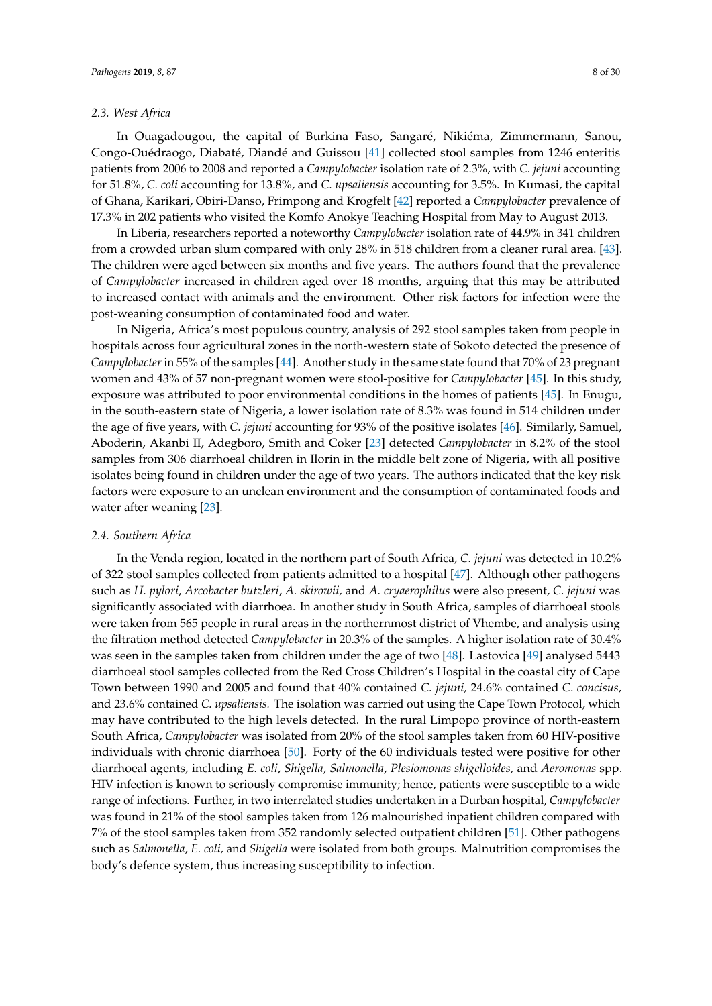# *2.3. West Africa*

In Ouagadougou, the capital of Burkina Faso, Sangaré, Nikiéma, Zimmermann, Sanou, Congo-Ouédraogo, Diabaté, Diandé and Guissou [\[41\]](#page-26-31) collected stool samples from 1246 enteritis patients from 2006 to 2008 and reported a *Campylobacter* isolation rate of 2.3%, with *C. jejuni* accounting for 51.8%, *C. coli* accounting for 13.8%, and *C. upsaliensis* accounting for 3.5%. In Kumasi, the capital of Ghana, Karikari, Obiri-Danso, Frimpong and Krogfelt [\[42\]](#page-26-32) reported a *Campylobacter* prevalence of 17.3% in 202 patients who visited the Komfo Anokye Teaching Hospital from May to August 2013.

In Liberia, researchers reported a noteworthy *Campylobacter* isolation rate of 44.9% in 341 children from a crowded urban slum compared with only 28% in 518 children from a cleaner rural area. [\[43\]](#page-27-19). The children were aged between six months and five years. The authors found that the prevalence of *Campylobacter* increased in children aged over 18 months, arguing that this may be attributed to increased contact with animals and the environment. Other risk factors for infection were the post-weaning consumption of contaminated food and water.

In Nigeria, Africa's most populous country, analysis of 292 stool samples taken from people in hospitals across four agricultural zones in the north-western state of Sokoto detected the presence of *Campylobacter* in 55% of the samples [\[44\]](#page-27-20). Another study in the same state found that 70% of 23 pregnant women and 43% of 57 non-pregnant women were stool-positive for *Campylobacter* [\[45\]](#page-27-21). In this study, exposure was attributed to poor environmental conditions in the homes of patients [\[45\]](#page-27-21). In Enugu, in the south-eastern state of Nigeria, a lower isolation rate of 8.3% was found in 514 children under the age of five years, with *C. jejuni* accounting for 93% of the positive isolates [\[46\]](#page-27-11). Similarly, Samuel, Aboderin, Akanbi II, Adegboro, Smith and Coker [\[23\]](#page-26-1) detected *Campylobacter* in 8.2% of the stool samples from 306 diarrhoeal children in Ilorin in the middle belt zone of Nigeria, with all positive isolates being found in children under the age of two years. The authors indicated that the key risk factors were exposure to an unclean environment and the consumption of contaminated foods and water after weaning [\[23\]](#page-26-1).

#### *2.4. Southern Africa*

In the Venda region, located in the northern part of South Africa, *C. jejuni* was detected in 10.2% of 322 stool samples collected from patients admitted to a hospital [\[47\]](#page-27-22). Although other pathogens such as *H. pylori*, *Arcobacter butzleri*, *A. skirowii,* and *A. cryaerophilus* were also present, *C. jejuni* was significantly associated with diarrhoea. In another study in South Africa, samples of diarrhoeal stools were taken from 565 people in rural areas in the northernmost district of Vhembe, and analysis using the filtration method detected *Campylobacter* in 20.3% of the samples. A higher isolation rate of 30.4% was seen in the samples taken from children under the age of two [\[48\]](#page-27-23). Lastovica [\[49\]](#page-27-24) analysed 5443 diarrhoeal stool samples collected from the Red Cross Children's Hospital in the coastal city of Cape Town between 1990 and 2005 and found that 40% contained *C. jejuni,* 24.6% contained *C*. *concisus,* and 23.6% contained *C. upsaliensis.* The isolation was carried out using the Cape Town Protocol, which may have contributed to the high levels detected. In the rural Limpopo province of north-eastern South Africa, *Campylobacter* was isolated from 20% of the stool samples taken from 60 HIV-positive individuals with chronic diarrhoea [\[50\]](#page-27-25). Forty of the 60 individuals tested were positive for other diarrhoeal agents, including *E. coli*, *Shigella*, *Salmonella*, *Plesiomonas shigelloides,* and *Aeromonas* spp. HIV infection is known to seriously compromise immunity; hence, patients were susceptible to a wide range of infections. Further, in two interrelated studies undertaken in a Durban hospital, *Campylobacter* was found in 21% of the stool samples taken from 126 malnourished inpatient children compared with 7% of the stool samples taken from 352 randomly selected outpatient children [\[51\]](#page-27-16). Other pathogens such as *Salmonella*, *E. coli,* and *Shigella* were isolated from both groups. Malnutrition compromises the body's defence system, thus increasing susceptibility to infection.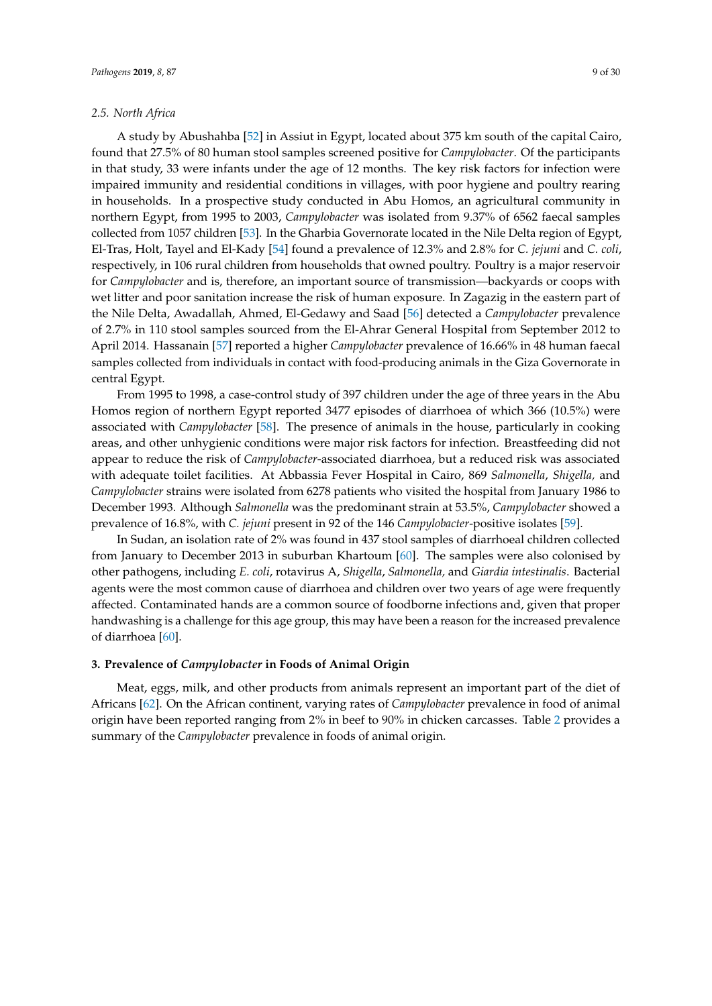# *2.5. North Africa*

A study by Abushahba [\[52\]](#page-27-26) in Assiut in Egypt, located about 375 km south of the capital Cairo, found that 27.5% of 80 human stool samples screened positive for *Campylobacter*. Of the participants in that study, 33 were infants under the age of 12 months. The key risk factors for infection were impaired immunity and residential conditions in villages, with poor hygiene and poultry rearing in households. In a prospective study conducted in Abu Homos, an agricultural community in northern Egypt, from 1995 to 2003, *Campylobacter* was isolated from 9.37% of 6562 faecal samples collected from 1057 children [\[53\]](#page-27-27). In the Gharbia Governorate located in the Nile Delta region of Egypt, El-Tras, Holt, Tayel and El-Kady [\[54\]](#page-27-28) found a prevalence of 12.3% and 2.8% for *C. jejuni* and *C. coli*, respectively, in 106 rural children from households that owned poultry. Poultry is a major reservoir for *Campylobacter* and is, therefore, an important source of transmission—backyards or coops with wet litter and poor sanitation increase the risk of human exposure. In Zagazig in the eastern part of the Nile Delta, Awadallah, Ahmed, El-Gedawy and Saad [\[56\]](#page-27-29) detected a *Campylobacter* prevalence of 2.7% in 110 stool samples sourced from the El-Ahrar General Hospital from September 2012 to April 2014. Hassanain [\[57\]](#page-27-30) reported a higher *Campylobacter* prevalence of 16.66% in 48 human faecal samples collected from individuals in contact with food-producing animals in the Giza Governorate in central Egypt.

From 1995 to 1998, a case-control study of 397 children under the age of three years in the Abu Homos region of northern Egypt reported 3477 episodes of diarrhoea of which 366 (10.5%) were associated with *Campylobacter* [\[58\]](#page-27-31). The presence of animals in the house, particularly in cooking areas, and other unhygienic conditions were major risk factors for infection. Breastfeeding did not appear to reduce the risk of *Campylobacter*-associated diarrhoea, but a reduced risk was associated with adequate toilet facilities. At Abbassia Fever Hospital in Cairo, 869 *Salmonella*, *Shigella,* and *Campylobacter* strains were isolated from 6278 patients who visited the hospital from January 1986 to December 1993. Although *Salmonella* was the predominant strain at 53.5%, *Campylobacter* showed a prevalence of 16.8%, with *C. jejuni* present in 92 of the 146 *Campylobacter*-positive isolates [\[59\]](#page-27-32).

In Sudan, an isolation rate of 2% was found in 437 stool samples of diarrhoeal children collected from January to December 2013 in suburban Khartoum [\[60\]](#page-27-33). The samples were also colonised by other pathogens, including *E. coli*, rotavirus A, *Shigella*, *Salmonella,* and *Giardia intestinalis*. Bacterial agents were the most common cause of diarrhoea and children over two years of age were frequently affected. Contaminated hands are a common source of foodborne infections and, given that proper handwashing is a challenge for this age group, this may have been a reason for the increased prevalence of diarrhoea [\[60\]](#page-27-33).

# **3. Prevalence of** *Campylobacter* **in Foods of Animal Origin**

Meat, eggs, milk, and other products from animals represent an important part of the diet of Africans [\[62\]](#page-27-34). On the African continent, varying rates of *Campylobacter* prevalence in food of animal origin have been reported ranging from 2% in beef to 90% in chicken carcasses. Table [2](#page-11-0) provides a summary of the *Campylobacter* prevalence in foods of animal origin.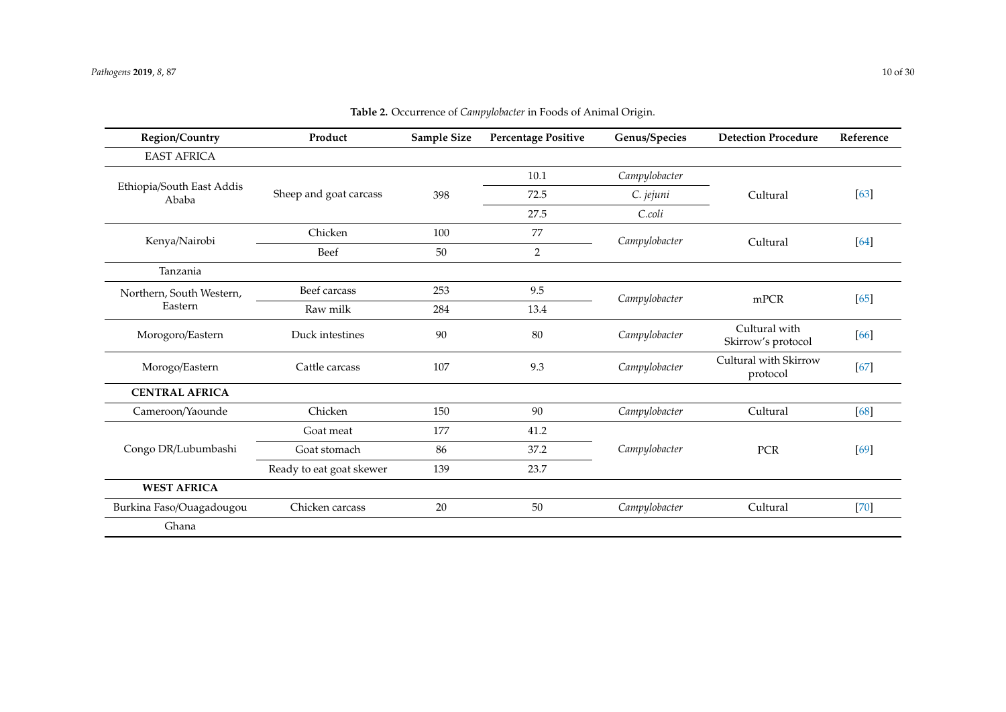| Region/Country                     | Product                  | Sample Size | <b>Percentage Positive</b> | Genus/Species | <b>Detection Procedure</b>          | Reference |
|------------------------------------|--------------------------|-------------|----------------------------|---------------|-------------------------------------|-----------|
| <b>EAST AFRICA</b>                 |                          |             |                            |               |                                     |           |
|                                    |                          |             | 10.1                       | Campylobacter |                                     |           |
| Ethiopia/South East Addis<br>Ababa | Sheep and goat carcass   | 398         | 72.5                       | C. jejuni     | Cultural                            | $[63]$    |
|                                    |                          |             | 27.5                       | C.coli        |                                     |           |
| Kenya/Nairobi                      | Chicken                  | 100         | 77                         | Campylobacter | Cultural                            | [64]      |
|                                    | Beef                     | 50          | $\overline{2}$             |               |                                     |           |
| Tanzania                           |                          |             |                            |               |                                     |           |
| Northern, South Western,           | Beef carcass             | 253         | 9.5                        | Campylobacter | mPCR                                | [65]      |
| Eastern                            | Raw milk                 | 284         | 13.4                       |               |                                     |           |
| Morogoro/Eastern                   | Duck intestines          | 90          | 80                         | Campylobacter | Cultural with<br>Skirrow's protocol | [66]      |
| Morogo/Eastern                     | Cattle carcass           | 107         | 9.3                        | Campylobacter | Cultural with Skirrow<br>protocol   | $[67]$    |
| <b>CENTRAL AFRICA</b>              |                          |             |                            |               |                                     |           |
| Cameroon/Yaounde                   | Chicken                  | 150         | 90                         | Campylobacter | Cultural                            | [68]      |
|                                    | Goat meat                | 177         | 41.2                       |               |                                     |           |
| Congo DR/Lubumbashi                | Goat stomach             | 86          | 37.2                       | Campylobacter | PCR                                 | [69]      |
|                                    | Ready to eat goat skewer | 139         | 23.7                       |               |                                     |           |
| <b>WEST AFRICA</b>                 |                          |             |                            |               |                                     |           |
| Burkina Faso/Ouagadougou           | Chicken carcass          | 20          | 50                         | Campylobacter | Cultural                            | $[70]$    |
| Ghana                              |                          |             |                            |               |                                     |           |

**Table 2.** Occurrence of *Campylobacter* in Foods of Animal Origin.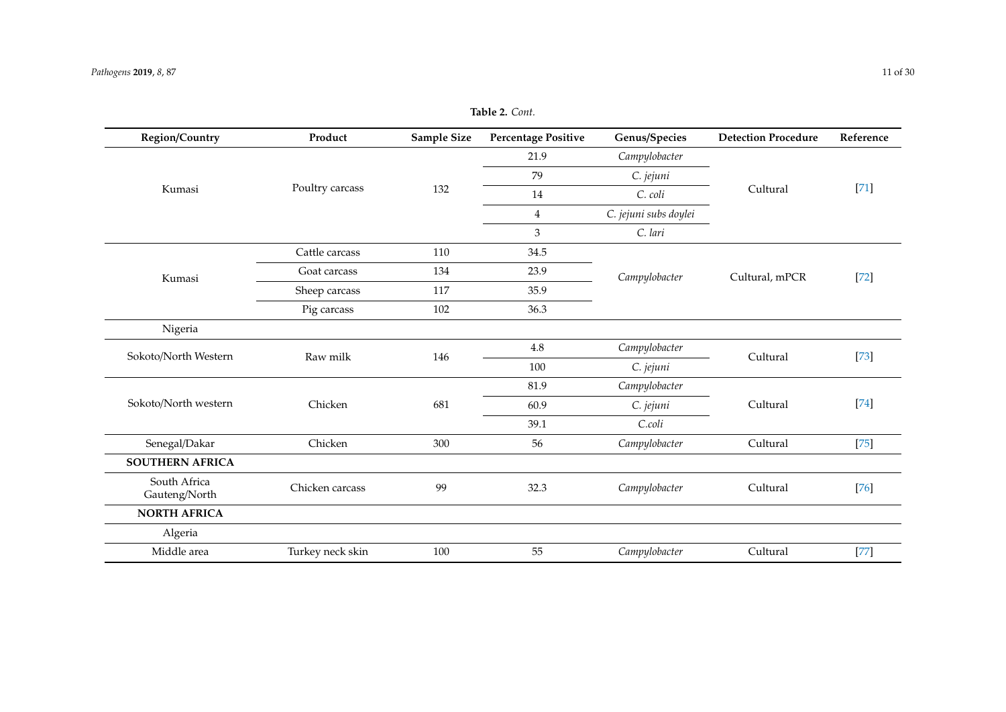| Region/Country                | Product          | <b>Sample Size</b> | <b>Percentage Positive</b> | Genus/Species         | <b>Detection Procedure</b> | Reference |
|-------------------------------|------------------|--------------------|----------------------------|-----------------------|----------------------------|-----------|
|                               |                  |                    | 21.9                       | Campylobacter         |                            |           |
|                               |                  |                    | 79                         | C. jejuni             |                            |           |
| Kumasi                        | Poultry carcass  | 132                | $14\,$                     | C. coli               | Cultural                   | $[71]$    |
|                               |                  |                    | $\overline{\mathbf{4}}$    | C. jejuni subs doylei |                            |           |
|                               |                  |                    | 3                          | C. lari               |                            |           |
|                               | Cattle carcass   | 110                | 34.5                       |                       |                            |           |
| Kumasi                        | Goat carcass     | 134                | 23.9                       | Campylobacter         | Cultural, mPCR             | $[72]$    |
|                               | Sheep carcass    | 117                | 35.9                       |                       |                            |           |
|                               | Pig carcass      | 102                | 36.3                       |                       |                            |           |
| Nigeria                       |                  |                    |                            |                       |                            |           |
| Sokoto/North Western          |                  |                    | $4.8\,$                    | Campylobacter         | Cultural                   | $[73]$    |
|                               | Raw milk         | 146                | 100                        | C. jejuni             |                            |           |
|                               |                  |                    | 81.9                       | Campylobacter         |                            |           |
| Sokoto/North western          | Chicken          | 681                | 60.9                       | C. jejuni             | Cultural                   | $[74]$    |
|                               |                  |                    | 39.1                       | C.coli                |                            |           |
| Senegal/Dakar                 | Chicken          | 300                | 56                         | Campylobacter         | Cultural                   | $[75]$    |
| <b>SOUTHERN AFRICA</b>        |                  |                    |                            |                       |                            |           |
| South Africa<br>Gauteng/North | Chicken carcass  | 99                 | 32.3                       | Campylobacter         | Cultural                   | $[76]$    |
| <b>NORTH AFRICA</b>           |                  |                    |                            |                       |                            |           |
| Algeria                       |                  |                    |                            |                       |                            |           |
| Middle area                   | Turkey neck skin | 100                | 55                         | Campylobacter         | Cultural                   | $[77]$    |

**Table 2.** *Cont.*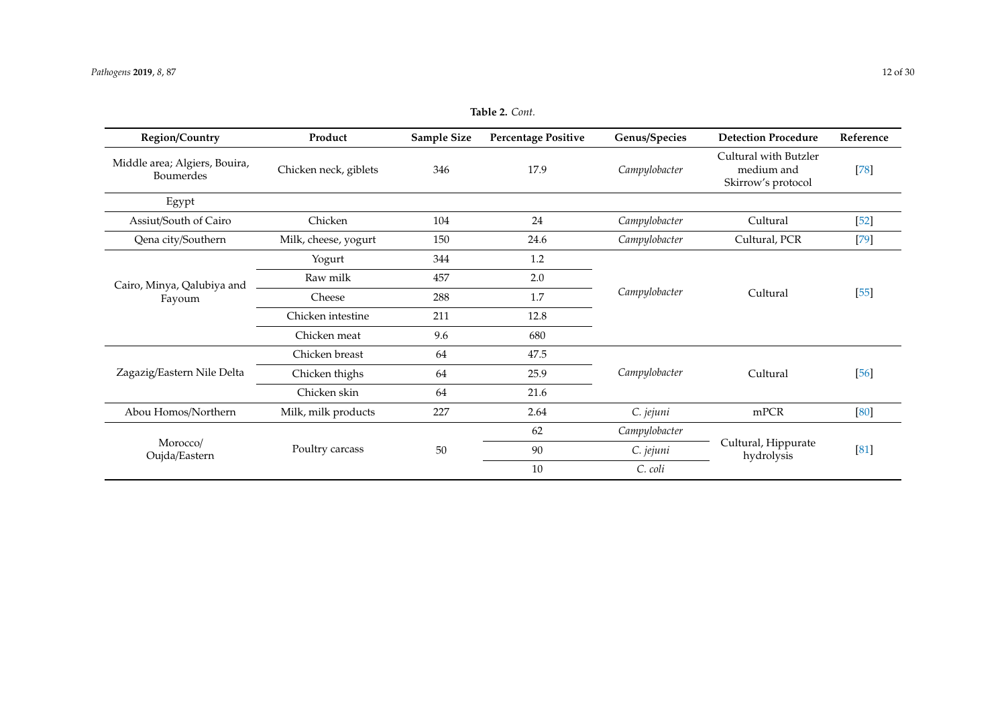<span id="page-11-0"></span>

| Region/Country                             | Product               | Sample Size | <b>Percentage Positive</b> | Genus/Species | <b>Detection Procedure</b>                                | Reference |
|--------------------------------------------|-----------------------|-------------|----------------------------|---------------|-----------------------------------------------------------|-----------|
| Middle area; Algiers, Bouira,<br>Boumerdes | Chicken neck, giblets | 346         | 17.9                       | Campylobacter | Cultural with Butzler<br>medium and<br>Skirrow's protocol | $[78]$    |
| Egypt                                      |                       |             |                            |               |                                                           |           |
| Assiut/South of Cairo                      | Chicken               | 104         | 24                         | Campylobacter | Cultural                                                  | $[52]$    |
| Qena city/Southern                         | Milk, cheese, yogurt  | 150         | 24.6                       | Campylobacter | Cultural, PCR                                             | $[79]$    |
|                                            | Yogurt                | 344         | 1.2                        |               |                                                           |           |
| Cairo, Minya, Qalubiya and<br>Fayoum       | Raw milk              | 457         | 2.0                        |               |                                                           |           |
|                                            | Cheese                | 288         | 1.7                        | Campylobacter | Cultural                                                  | $[55]$    |
|                                            | Chicken intestine     | 211         | 12.8                       |               |                                                           |           |
|                                            | Chicken meat          | 9.6         | 680                        |               |                                                           |           |
|                                            | Chicken breast        | 64          | 47.5                       |               |                                                           |           |
| Zagazig/Eastern Nile Delta                 | Chicken thighs        | 64          | 25.9                       | Campylobacter | Cultural                                                  | [56]      |
|                                            | Chicken skin          | 64          | 21.6                       |               |                                                           |           |
| Abou Homos/Northern                        | Milk, milk products   | 227         | 2.64                       | C. jejuni     | mPCR                                                      | [80]      |
|                                            |                       |             | 62                         | Campylobacter |                                                           |           |
| Morocco/<br>Oujda/Eastern                  | Poultry carcass       | 50          | 90                         | C. jejuni     | Cultural, Hippurate<br>hydrolysis                         | [81]      |
|                                            |                       |             | 10                         | C. coli       |                                                           |           |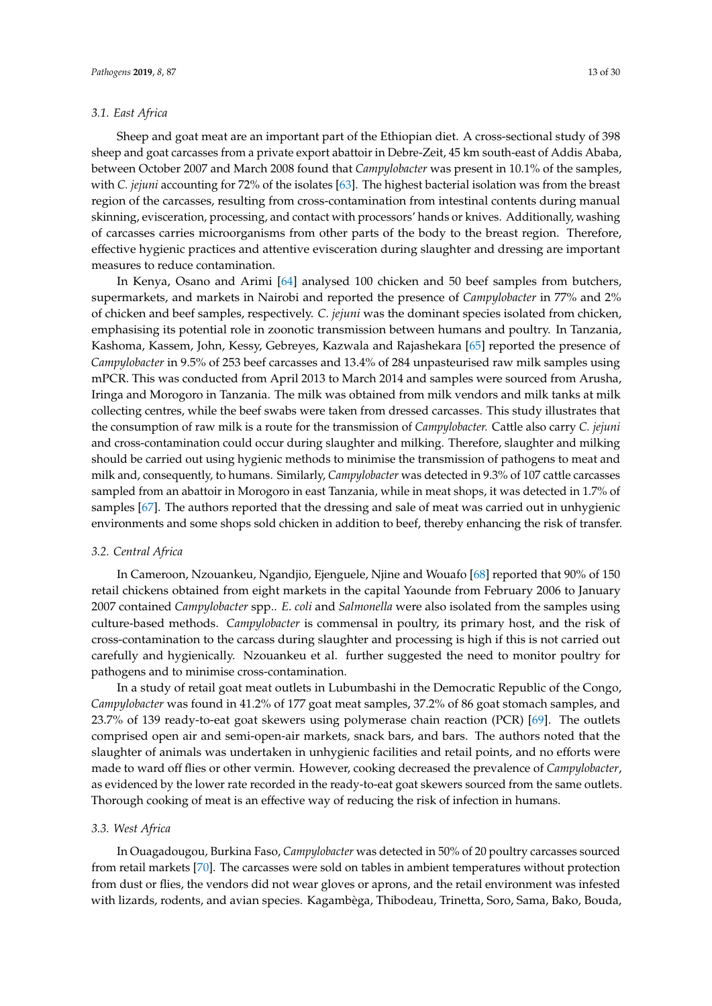# *3.1. East Africa*

Sheep and goat meat are an important part of the Ethiopian diet. A cross-sectional study of 398 sheep and goat carcasses from a private export abattoir in Debre-Zeit, 45 km south-east of Addis Ababa, between October 2007 and March 2008 found that *Campylobacter* was present in 10.1% of the samples, with *C. jejuni* accounting for 72% of the isolates [\[63\]](#page-27-35). The highest bacterial isolation was from the breast region of the carcasses, resulting from cross-contamination from intestinal contents during manual skinning, evisceration, processing, and contact with processors' hands or knives. Additionally, washing of carcasses carries microorganisms from other parts of the body to the breast region. Therefore, effective hygienic practices and attentive evisceration during slaughter and dressing are important measures to reduce contamination.

In Kenya, Osano and Arimi [\[64\]](#page-28-18) analysed 100 chicken and 50 beef samples from butchers, supermarkets, and markets in Nairobi and reported the presence of *Campylobacter* in 77% and 2% of chicken and beef samples, respectively. *C. jejuni* was the dominant species isolated from chicken, emphasising its potential role in zoonotic transmission between humans and poultry. In Tanzania, Kashoma, Kassem, John, Kessy, Gebreyes, Kazwala and Rajashekara [\[65\]](#page-28-19) reported the presence of *Campylobacter* in 9.5% of 253 beef carcasses and 13.4% of 284 unpasteurised raw milk samples using mPCR. This was conducted from April 2013 to March 2014 and samples were sourced from Arusha, Iringa and Morogoro in Tanzania. The milk was obtained from milk vendors and milk tanks at milk collecting centres, while the beef swabs were taken from dressed carcasses. This study illustrates that the consumption of raw milk is a route for the transmission of *Campylobacter.* Cattle also carry *C. jejuni* and cross-contamination could occur during slaughter and milking. Therefore, slaughter and milking should be carried out using hygienic methods to minimise the transmission of pathogens to meat and milk and, consequently, to humans. Similarly, *Campylobacter* was detected in 9.3% of 107 cattle carcasses sampled from an abattoir in Morogoro in east Tanzania, while in meat shops, it was detected in 1.7% of samples [\[67\]](#page-28-20). The authors reported that the dressing and sale of meat was carried out in unhygienic environments and some shops sold chicken in addition to beef, thereby enhancing the risk of transfer.

#### *3.2. Central Africa*

In Cameroon, Nzouankeu, Ngandjio, Ejenguele, Njine and Wouafo [\[68\]](#page-28-21) reported that 90% of 150 retail chickens obtained from eight markets in the capital Yaounde from February 2006 to January 2007 contained *Campylobacter* spp.. *E. coli* and *Salmonella* were also isolated from the samples using culture-based methods. *Campylobacter* is commensal in poultry, its primary host, and the risk of cross-contamination to the carcass during slaughter and processing is high if this is not carried out carefully and hygienically. Nzouankeu et al. further suggested the need to monitor poultry for pathogens and to minimise cross-contamination.

In a study of retail goat meat outlets in Lubumbashi in the Democratic Republic of the Congo, *Campylobacter* was found in 41.2% of 177 goat meat samples, 37.2% of 86 goat stomach samples, and 23.7% of 139 ready-to-eat goat skewers using polymerase chain reaction (PCR) [\[69\]](#page-28-22). The outlets comprised open air and semi-open-air markets, snack bars, and bars. The authors noted that the slaughter of animals was undertaken in unhygienic facilities and retail points, and no efforts were made to ward off flies or other vermin. However, cooking decreased the prevalence of *Campylobacter*, as evidenced by the lower rate recorded in the ready-to-eat goat skewers sourced from the same outlets. Thorough cooking of meat is an effective way of reducing the risk of infection in humans.

# *3.3. West Africa*

In Ouagadougou, Burkina Faso, *Campylobacter* was detected in 50% of 20 poultry carcasses sourced from retail markets [\[70\]](#page-28-23). The carcasses were sold on tables in ambient temperatures without protection from dust or flies, the vendors did not wear gloves or aprons, and the retail environment was infested with lizards, rodents, and avian species. Kagambèga, Thibodeau, Trinetta, Soro, Sama, Bako, Bouda,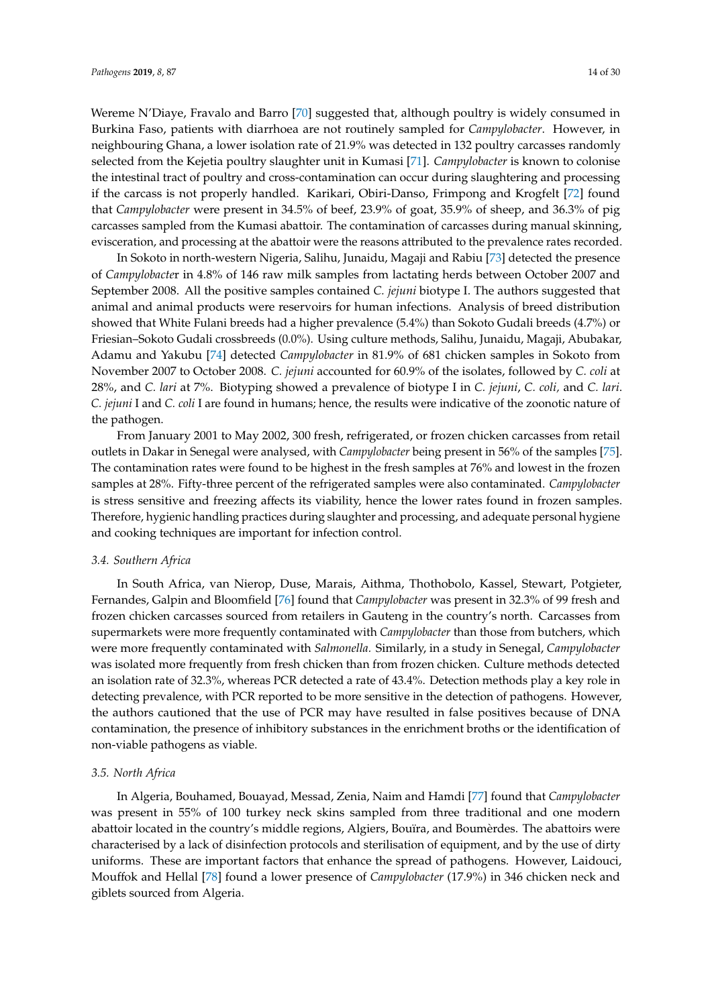Wereme N'Diaye, Fravalo and Barro [\[70\]](#page-28-23) suggested that, although poultry is widely consumed in Burkina Faso, patients with diarrhoea are not routinely sampled for *Campylobacter*. However, in neighbouring Ghana, a lower isolation rate of 21.9% was detected in 132 poultry carcasses randomly selected from the Kejetia poultry slaughter unit in Kumasi [\[71\]](#page-28-15). *Campylobacter* is known to colonise the intestinal tract of poultry and cross-contamination can occur during slaughtering and processing if the carcass is not properly handled. Karikari, Obiri-Danso, Frimpong and Krogfelt [\[72\]](#page-28-16) found that *Campylobacter* were present in 34.5% of beef, 23.9% of goat, 35.9% of sheep, and 36.3% of pig carcasses sampled from the Kumasi abattoir. The contamination of carcasses during manual skinning, evisceration, and processing at the abattoir were the reasons attributed to the prevalence rates recorded.

In Sokoto in north-western Nigeria, Salihu, Junaidu, Magaji and Rabiu [\[73\]](#page-28-24) detected the presence of *Campylobacte*r in 4.8% of 146 raw milk samples from lactating herds between October 2007 and September 2008. All the positive samples contained *C. jejuni* biotype I. The authors suggested that animal and animal products were reservoirs for human infections. Analysis of breed distribution showed that White Fulani breeds had a higher prevalence (5.4%) than Sokoto Gudali breeds (4.7%) or Friesian–Sokoto Gudali crossbreeds (0.0%). Using culture methods, Salihu, Junaidu, Magaji, Abubakar, Adamu and Yakubu [\[74\]](#page-28-25) detected *Campylobacter* in 81.9% of 681 chicken samples in Sokoto from November 2007 to October 2008. *C. jejuni* accounted for 60.9% of the isolates, followed by *C. coli* at 28%, and *C. lari* at 7%. Biotyping showed a prevalence of biotype I in *C. jejuni*, *C. coli,* and *C. lari*. *C. jejuni* I and *C. coli* I are found in humans; hence, the results were indicative of the zoonotic nature of the pathogen.

From January 2001 to May 2002, 300 fresh, refrigerated, or frozen chicken carcasses from retail outlets in Dakar in Senegal were analysed, with *Campylobacter* being present in 56% of the samples [\[75\]](#page-28-26). The contamination rates were found to be highest in the fresh samples at 76% and lowest in the frozen samples at 28%. Fifty-three percent of the refrigerated samples were also contaminated. *Campylobacter* is stress sensitive and freezing affects its viability, hence the lower rates found in frozen samples. Therefore, hygienic handling practices during slaughter and processing, and adequate personal hygiene and cooking techniques are important for infection control.

#### *3.4. Southern Africa*

In South Africa, van Nierop, Duse, Marais, Aithma, Thothobolo, Kassel, Stewart, Potgieter, Fernandes, Galpin and Bloomfield [\[76\]](#page-28-27) found that *Campylobacter* was present in 32.3% of 99 fresh and frozen chicken carcasses sourced from retailers in Gauteng in the country's north. Carcasses from supermarkets were more frequently contaminated with *Campylobacter* than those from butchers, which were more frequently contaminated with *Salmonella.* Similarly, in a study in Senegal, *Campylobacter* was isolated more frequently from fresh chicken than from frozen chicken. Culture methods detected an isolation rate of 32.3%, whereas PCR detected a rate of 43.4%. Detection methods play a key role in detecting prevalence, with PCR reported to be more sensitive in the detection of pathogens. However, the authors cautioned that the use of PCR may have resulted in false positives because of DNA contamination, the presence of inhibitory substances in the enrichment broths or the identification of non-viable pathogens as viable.

#### *3.5. North Africa*

In Algeria, Bouhamed, Bouayad, Messad, Zenia, Naim and Hamdi [\[77\]](#page-28-28) found that *Campylobacter* was present in 55% of 100 turkey neck skins sampled from three traditional and one modern abattoir located in the country's middle regions, Algiers, Bouïra, and Boumèrdes. The abattoirs were characterised by a lack of disinfection protocols and sterilisation of equipment, and by the use of dirty uniforms. These are important factors that enhance the spread of pathogens. However, Laidouci, Mouffok and Hellal [\[78\]](#page-28-29) found a lower presence of *Campylobacter* (17.9%) in 346 chicken neck and giblets sourced from Algeria.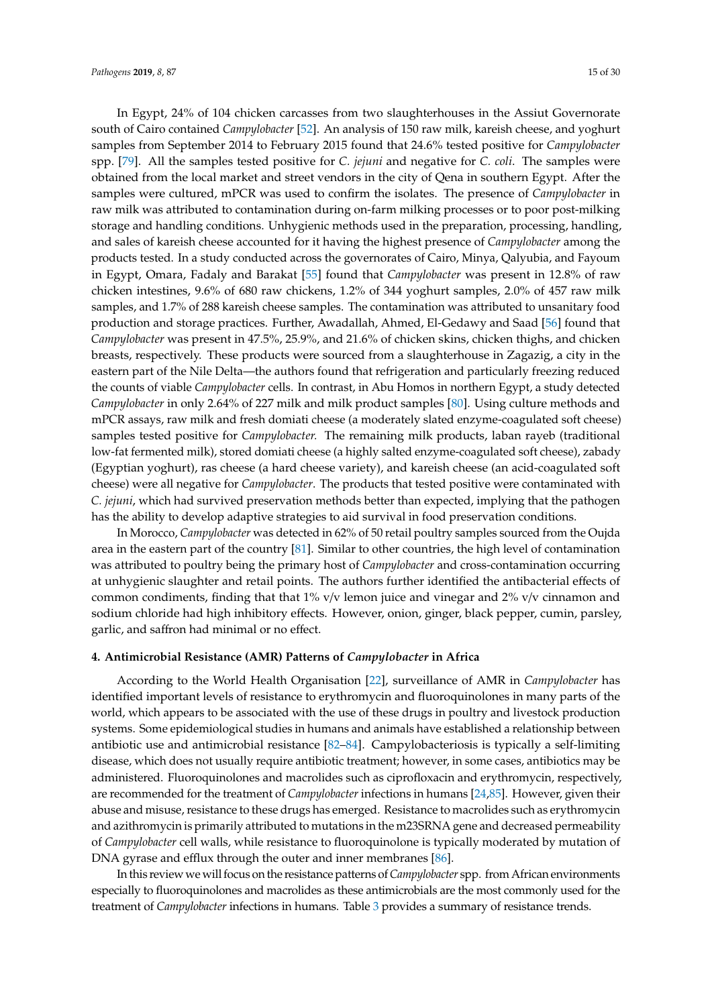In Egypt, 24% of 104 chicken carcasses from two slaughterhouses in the Assiut Governorate south of Cairo contained *Campylobacter* [\[52\]](#page-27-26). An analysis of 150 raw milk, kareish cheese, and yoghurt samples from September 2014 to February 2015 found that 24.6% tested positive for *Campylobacter* spp. [\[79\]](#page-28-30). All the samples tested positive for *C. jejuni* and negative for *C. coli*. The samples were obtained from the local market and street vendors in the city of Qena in southern Egypt. After the samples were cultured, mPCR was used to confirm the isolates. The presence of *Campylobacter* in raw milk was attributed to contamination during on-farm milking processes or to poor post-milking storage and handling conditions. Unhygienic methods used in the preparation, processing, handling, and sales of kareish cheese accounted for it having the highest presence of *Campylobacter* among the products tested. In a study conducted across the governorates of Cairo, Minya, Qalyubia, and Fayoum in Egypt, Omara, Fadaly and Barakat [\[55\]](#page-27-36) found that *Campylobacter* was present in 12.8% of raw chicken intestines, 9.6% of 680 raw chickens, 1.2% of 344 yoghurt samples, 2.0% of 457 raw milk samples, and 1.7% of 288 kareish cheese samples. The contamination was attributed to unsanitary food production and storage practices. Further, Awadallah, Ahmed, El-Gedawy and Saad [\[56\]](#page-27-29) found that *Campylobacter* was present in 47.5%, 25.9%, and 21.6% of chicken skins, chicken thighs, and chicken breasts, respectively. These products were sourced from a slaughterhouse in Zagazig, a city in the eastern part of the Nile Delta—the authors found that refrigeration and particularly freezing reduced the counts of viable *Campylobacter* cells. In contrast, in Abu Homos in northern Egypt, a study detected *Campylobacter* in only 2.64% of 227 milk and milk product samples [\[80\]](#page-28-31). Using culture methods and mPCR assays, raw milk and fresh domiati cheese (a moderately slated enzyme-coagulated soft cheese) samples tested positive for *Campylobacter.* The remaining milk products, laban rayeb (traditional low-fat fermented milk), stored domiati cheese (a highly salted enzyme-coagulated soft cheese), zabady (Egyptian yoghurt), ras cheese (a hard cheese variety), and kareish cheese (an acid-coagulated soft cheese) were all negative for *Campylobacter*. The products that tested positive were contaminated with *C. jejuni*, which had survived preservation methods better than expected, implying that the pathogen has the ability to develop adaptive strategies to aid survival in food preservation conditions.

In Morocco, *Campylobacter* was detected in 62% of 50 retail poultry samples sourced from the Oujda area in the eastern part of the country [\[81\]](#page-28-32). Similar to other countries, the high level of contamination was attributed to poultry being the primary host of *Campylobacter* and cross-contamination occurring at unhygienic slaughter and retail points. The authors further identified the antibacterial effects of common condiments, finding that that 1% v/v lemon juice and vinegar and 2% v/v cinnamon and sodium chloride had high inhibitory effects. However, onion, ginger, black pepper, cumin, parsley, garlic, and saffron had minimal or no effect.

#### **4. Antimicrobial Resistance (AMR) Patterns of** *Campylobacter* **in Africa**

According to the World Health Organisation [\[22\]](#page-26-0), surveillance of AMR in *Campylobacter* has identified important levels of resistance to erythromycin and fluoroquinolones in many parts of the world, which appears to be associated with the use of these drugs in poultry and livestock production systems. Some epidemiological studies in humans and animals have established a relationship between antibiotic use and antimicrobial resistance [\[82](#page-28-33)[–84\]](#page-28-34). Campylobacteriosis is typically a self-limiting disease, which does not usually require antibiotic treatment; however, in some cases, antibiotics may be administered. Fluoroquinolones and macrolides such as ciprofloxacin and erythromycin, respectively, are recommended for the treatment of *Campylobacter* infections in humans [\[24](#page-26-2)[,85\]](#page-29-0). However, given their abuse and misuse, resistance to these drugs has emerged. Resistance to macrolides such as erythromycin and azithromycin is primarily attributed to mutations in the m23SRNA gene and decreased permeability of *Campylobacter* cell walls, while resistance to fluoroquinolone is typically moderated by mutation of DNA gyrase and efflux through the outer and inner membranes [\[86\]](#page-29-1).

In this review we will focus on the resistance patterns of*Campylobacter* spp. from African environments especially to fluoroquinolones and macrolides as these antimicrobials are the most commonly used for the treatment of *Campylobacter* infections in humans. Table [3](#page-20-0) provides a summary of resistance trends.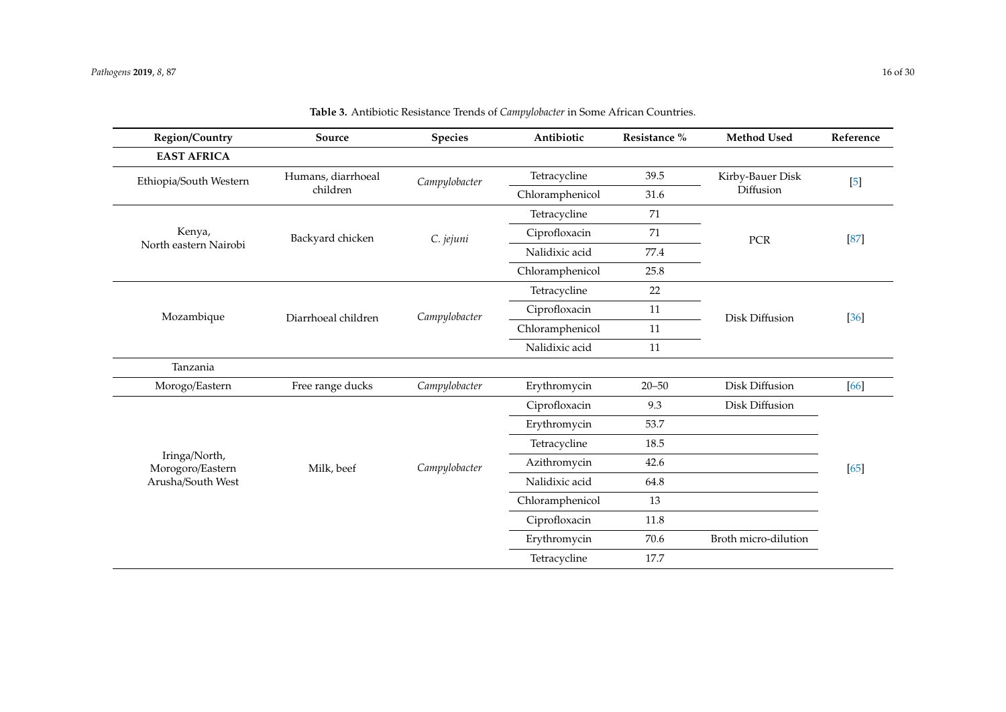| <b>Region/Country</b>             | Source              | <b>Species</b> | Antibiotic      | Resistance % | <b>Method Used</b>   | Reference |
|-----------------------------------|---------------------|----------------|-----------------|--------------|----------------------|-----------|
| <b>EAST AFRICA</b>                |                     |                |                 |              |                      |           |
| Ethiopia/South Western            | Humans, diarrhoeal  | Campylobacter  | Tetracycline    | 39.5         | Kirby-Bauer Disk     | $[5]$     |
|                                   | children            |                | Chloramphenicol | 31.6         | Diffusion            |           |
|                                   |                     |                | Tetracycline    | 71           |                      |           |
| Kenya,                            | Backyard chicken    | C. jejuni      | Ciprofloxacin   | 71           | <b>PCR</b>           | $[87]$    |
| North eastern Nairobi             |                     |                | Nalidixic acid  | 77.4         |                      |           |
|                                   |                     |                | Chloramphenicol | 25.8         |                      |           |
|                                   |                     |                | Tetracycline    | 22           |                      |           |
| Mozambique                        | Diarrhoeal children | Campylobacter  | Ciprofloxacin   | 11           |                      | $[36]$    |
|                                   |                     |                | Chloramphenicol | 11           |                      |           |
|                                   |                     |                | Nalidixic acid  | 11           | Disk Diffusion       |           |
| Tanzania                          |                     |                |                 |              |                      |           |
| Morogo/Eastern                    | Free range ducks    | Campylobacter  | Erythromycin    | $20 - 50$    | Disk Diffusion       | $[66]$    |
|                                   |                     |                | Ciprofloxacin   | 9.3          | Disk Diffusion       |           |
|                                   |                     |                | Erythromycin    | 53.7         |                      |           |
|                                   |                     |                | Tetracycline    | 18.5         |                      |           |
| Iringa/North,<br>Morogoro/Eastern | Milk, beef          | Campylobacter  | Azithromycin    | 42.6         |                      | [65]      |
| Arusha/South West                 |                     |                | Nalidixic acid  | 64.8         |                      |           |
|                                   |                     |                | Chloramphenicol | 13           |                      |           |
|                                   |                     |                | Ciprofloxacin   | 11.8         |                      |           |
|                                   |                     |                | Erythromycin    | 70.6         | Broth micro-dilution |           |
|                                   |                     |                | Tetracycline    | 17.7         |                      |           |

| Table 3. Antibiotic Resistance Trends of Campylobacter in Some African Countries. |  |  |
|-----------------------------------------------------------------------------------|--|--|
|-----------------------------------------------------------------------------------|--|--|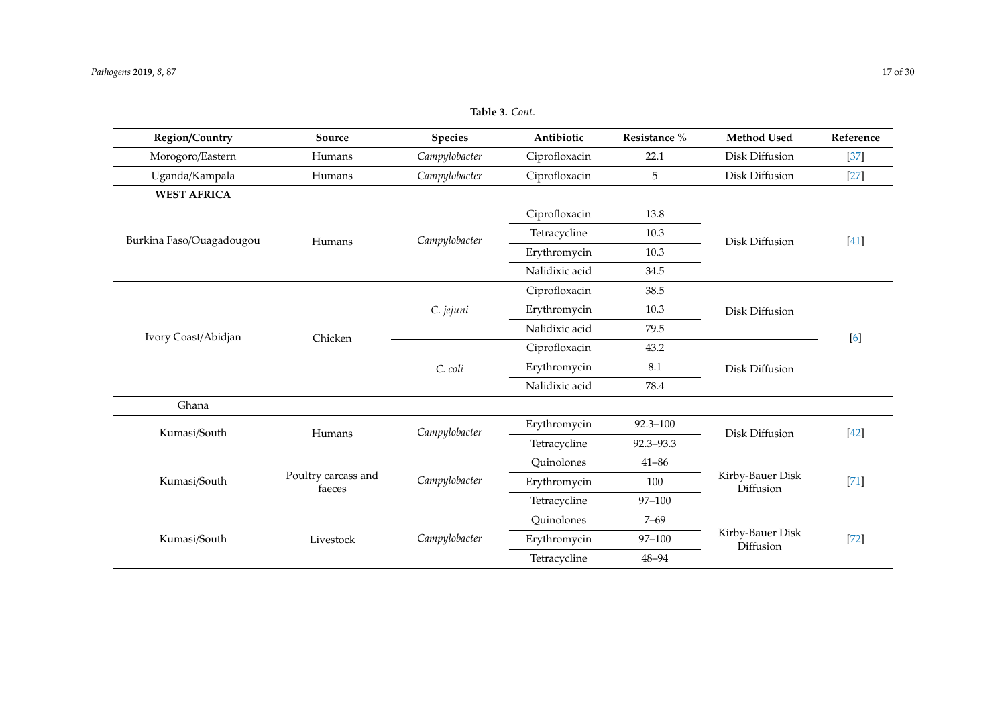| Region/Country           | Source                        | <b>Species</b> | Antibiotic     | Resistance % | <b>Method Used</b>                                                                                    | Reference |
|--------------------------|-------------------------------|----------------|----------------|--------------|-------------------------------------------------------------------------------------------------------|-----------|
| Morogoro/Eastern         | Humans                        | Campylobacter  | Ciprofloxacin  | 22.1         | Disk Diffusion                                                                                        | $[37]$    |
| Uganda/Kampala           | Humans                        | Campylobacter  | Ciprofloxacin  | 5            | Disk Diffusion                                                                                        | $[27]$    |
| <b>WEST AFRICA</b>       |                               |                |                |              |                                                                                                       |           |
|                          |                               |                | Ciprofloxacin  | 13.8         |                                                                                                       |           |
| Burkina Faso/Ouagadougou | Humans                        | Campylobacter  | Tetracycline   | 10.3         |                                                                                                       | $[41]$    |
|                          |                               |                | Erythromycin   | 10.3         |                                                                                                       |           |
|                          |                               |                | Nalidixic acid | 34.5         | Disk Diffusion<br>Disk Diffusion<br>Disk Diffusion<br>Disk Diffusion<br>Kirby-Bauer Disk<br>Diffusion |           |
|                          |                               |                | Ciprofloxacin  | 38.5         |                                                                                                       |           |
|                          |                               | C. jejuni      | Erythromycin   | 10.3         |                                                                                                       |           |
| Ivory Coast/Abidjan      |                               |                | Nalidixic acid | 79.5         |                                                                                                       |           |
|                          | Chicken                       |                | Ciprofloxacin  | 43.2         |                                                                                                       | [6]       |
|                          |                               | C. coli        | Erythromycin   | 8.1          |                                                                                                       |           |
|                          |                               |                | Nalidixic acid | 78.4         |                                                                                                       |           |
| Ghana                    |                               |                |                |              |                                                                                                       |           |
| Kumasi/South             | Humans                        | Campylobacter  | Erythromycin   | $92.3 - 100$ |                                                                                                       | $[42]$    |
|                          |                               |                | Tetracycline   | 92.3-93.3    |                                                                                                       |           |
|                          |                               |                | Quinolones     | $41 - 86$    |                                                                                                       |           |
| Kumasi/South             | Poultry carcass and<br>faeces | Campylobacter  | Erythromycin   | 100          |                                                                                                       | $[71]$    |
|                          |                               |                | Tetracycline   | 97-100       |                                                                                                       |           |
|                          |                               |                | Quinolones     | $7 - 69$     |                                                                                                       |           |
| Kumasi/South             | Livestock                     | Campylobacter  | Erythromycin   | 97-100       | Kirby-Bauer Disk<br>Diffusion                                                                         | $[72]$    |
|                          |                               |                | Tetracycline   | 48-94        |                                                                                                       |           |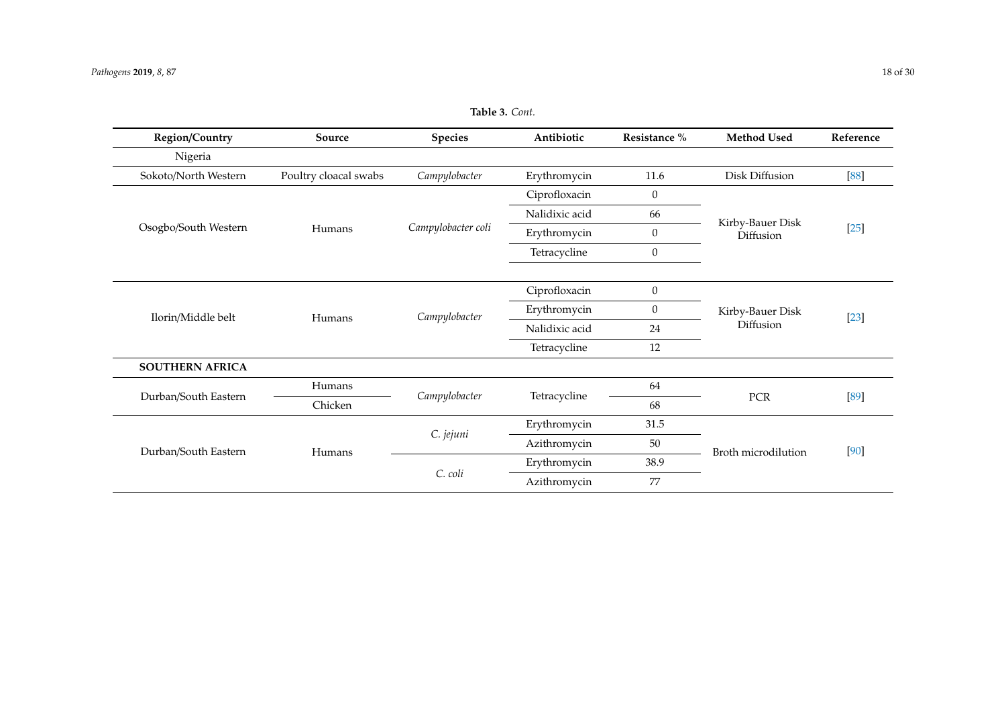| Region/Country         | Source                | <b>Species</b>     | Antibiotic     | Resistance %     | <b>Method Used</b>  | Reference |
|------------------------|-----------------------|--------------------|----------------|------------------|---------------------|-----------|
| Nigeria                |                       |                    |                |                  |                     |           |
| Sokoto/North Western   | Poultry cloacal swabs | Campylobacter      | Erythromycin   | 11.6             | Disk Diffusion      | $[88]$    |
|                        |                       |                    | Ciprofloxacin  | $\overline{0}$   |                     |           |
|                        |                       |                    | Nalidixic acid | 66               | Kirby-Bauer Disk    |           |
| Osogbo/South Western   | Humans                | Campylobacter coli | Erythromycin   | $\boldsymbol{0}$ | Diffusion           | $[25]$    |
|                        |                       |                    | Tetracycline   | $\mathbf{0}$     |                     |           |
|                        |                       |                    |                |                  |                     |           |
|                        |                       |                    | Ciprofloxacin  | $\boldsymbol{0}$ |                     |           |
| Ilorin/Middle belt     | Humans                | Campylobacter      | Erythromycin   | $\mathbf{0}$     | Kirby-Bauer Disk    | $[23]$    |
|                        |                       |                    | Nalidixic acid | 24               | Diffusion           |           |
|                        |                       |                    | Tetracycline   | 12               |                     |           |
| <b>SOUTHERN AFRICA</b> |                       |                    |                |                  |                     |           |
|                        | Humans                | Campylobacter      |                | 64               |                     |           |
| Durban/South Eastern   | Chicken               |                    | Tetracycline   | 68               | PCR                 | [89]      |
|                        |                       |                    | Erythromycin   | 31.5             |                     |           |
| Durban/South Eastern   | Humans                | C. jejuni          | Azithromycin   | 50               | Broth microdilution | [90]      |
|                        |                       |                    | Erythromycin   | 38.9             |                     |           |
|                        |                       | C. coli            | Azithromycin   | 77               |                     |           |

**Table 3.** *Cont.*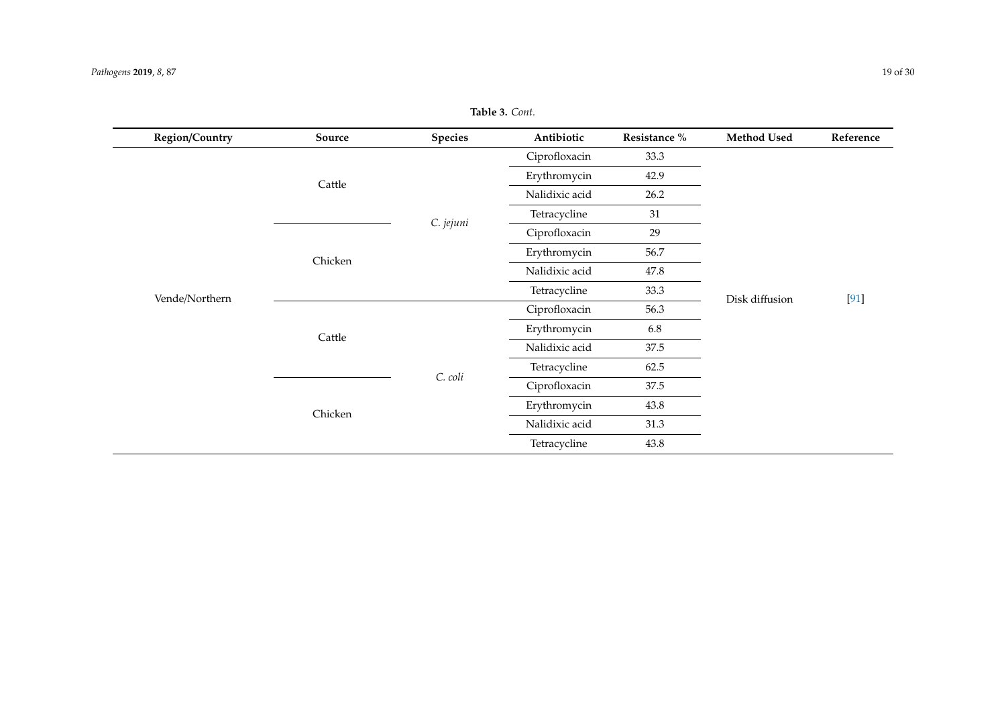| <b>Region/Country</b> | Source  | <b>Species</b> | Antibiotic     | Resistance % | <b>Method Used</b> | Reference |
|-----------------------|---------|----------------|----------------|--------------|--------------------|-----------|
|                       |         |                | Ciprofloxacin  | 33.3         |                    |           |
|                       | Cattle  |                | Erythromycin   | 42.9         |                    |           |
|                       |         |                | Nalidixic acid | 26.2         |                    |           |
|                       |         | C. jejuni      | Tetracycline   | 31           |                    |           |
|                       |         |                | Ciprofloxacin  | 29           |                    | $[91]$    |
|                       | Chicken |                | Erythromycin   | 56.7         |                    |           |
|                       |         |                | Nalidixic acid | $47.8\,$     |                    |           |
| Vende/Northern        |         |                | Tetracycline   | 33.3         | Disk diffusion     |           |
|                       |         |                | Ciprofloxacin  | 56.3         |                    |           |
|                       | Cattle  |                | Erythromycin   | 6.8          |                    |           |
|                       |         |                | Nalidixic acid | 37.5         |                    |           |
|                       |         |                | Tetracycline   | 62.5         |                    |           |
|                       |         | C. coli        | Ciprofloxacin  | 37.5         |                    |           |
|                       | Chicken |                | Erythromycin   | 43.8         |                    |           |
|                       |         |                | Nalidixic acid | 31.3         |                    |           |
|                       |         |                | Tetracycline   | 43.8         |                    |           |

**Table 3.** *Cont.*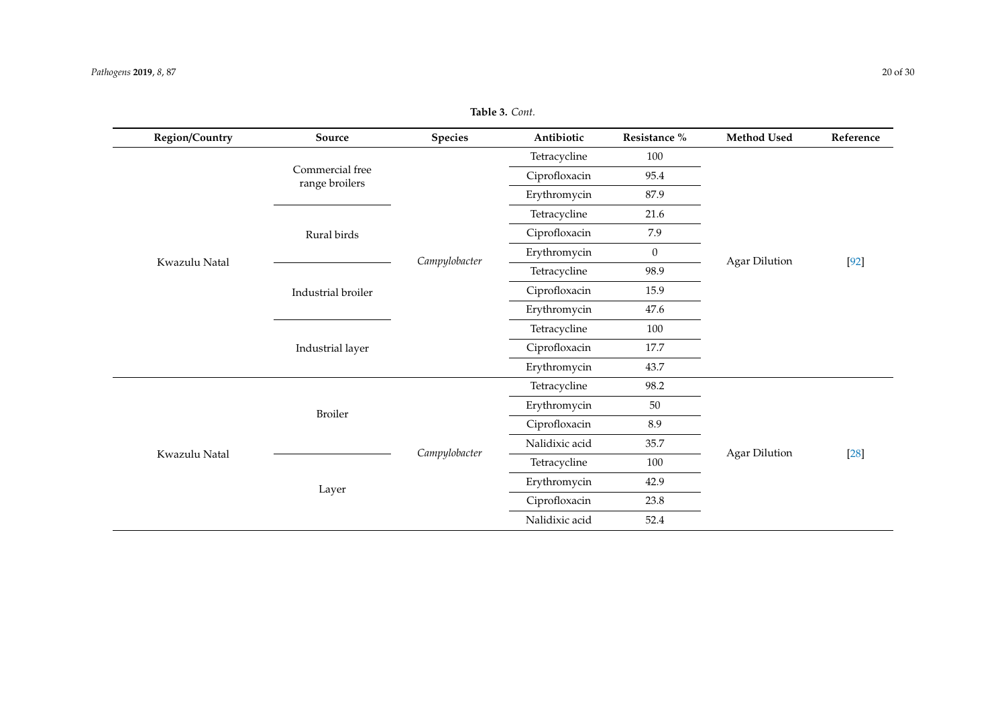| <b>Region/Country</b> | Source                            | <b>Species</b> | Antibiotic     | Resistance %   | Method Used          | Reference |
|-----------------------|-----------------------------------|----------------|----------------|----------------|----------------------|-----------|
| Kwazulu Natal         | Commercial free<br>range broilers | Campylobacter  | Tetracycline   | 100            | <b>Agar Dilution</b> | $[92]$    |
|                       |                                   |                | Ciprofloxacin  | 95.4           |                      |           |
|                       |                                   |                | Erythromycin   | 87.9           |                      |           |
|                       | Rural birds                       |                | Tetracycline   | 21.6           |                      |           |
|                       |                                   |                | Ciprofloxacin  | 7.9            |                      |           |
|                       |                                   |                | Erythromycin   | $\overline{0}$ |                      |           |
|                       | Industrial broiler                |                | Tetracycline   | 98.9           |                      |           |
|                       |                                   |                | Ciprofloxacin  | 15.9           |                      |           |
|                       |                                   |                | Erythromycin   | 47.6           |                      |           |
|                       | Industrial layer                  |                | Tetracycline   | 100            |                      |           |
|                       |                                   |                | Ciprofloxacin  | 17.7           |                      |           |
|                       |                                   |                | Erythromycin   | 43.7           |                      |           |
| Kwazulu Natal         | <b>Broiler</b>                    | Campylobacter  | Tetracycline   | 98.2           | <b>Agar Dilution</b> | $[28]$    |
|                       |                                   |                | Erythromycin   | 50             |                      |           |
|                       |                                   |                | Ciprofloxacin  | 8.9            |                      |           |
|                       |                                   |                | Nalidixic acid | 35.7           |                      |           |
|                       | Layer                             |                | Tetracycline   | 100            |                      |           |
|                       |                                   |                | Erythromycin   | 42.9           |                      |           |
|                       |                                   |                | Ciprofloxacin  | 23.8           |                      |           |
|                       |                                   |                | Nalidixic acid | 52.4           |                      |           |

**Table 3.** *Cont.*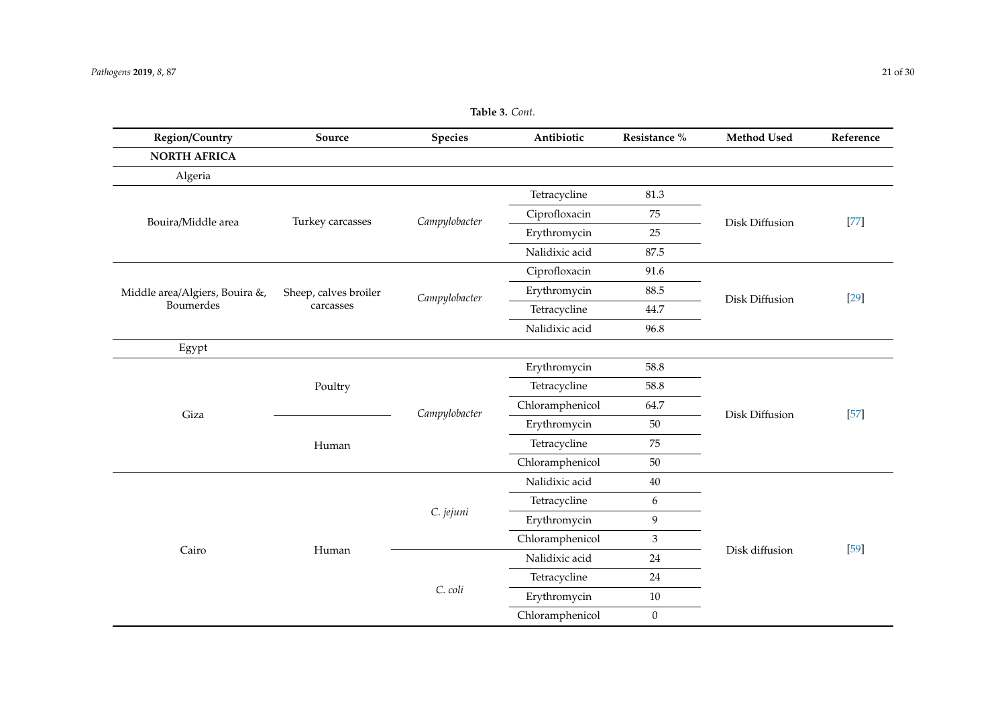<span id="page-20-0"></span>

| Region/Country                              | Source                             | <b>Species</b> | Antibiotic      | Resistance % | <b>Method Used</b> | Reference |
|---------------------------------------------|------------------------------------|----------------|-----------------|--------------|--------------------|-----------|
| <b>NORTH AFRICA</b>                         |                                    |                |                 |              |                    |           |
| Algeria                                     |                                    |                |                 |              |                    |           |
| Bouira/Middle area                          | Turkey carcasses                   | Campylobacter  | Tetracycline    | 81.3         | Disk Diffusion     | $[77]$    |
|                                             |                                    |                | Ciprofloxacin   | 75           |                    |           |
|                                             |                                    |                | Erythromycin    | 25           |                    |           |
|                                             |                                    |                | Nalidixic acid  | 87.5         |                    |           |
|                                             | Sheep, calves broiler<br>carcasses | Campylobacter  | Ciprofloxacin   | 91.6         | Disk Diffusion     | $[29]$    |
| Middle area/Algiers, Bouira &,<br>Boumerdes |                                    |                | Erythromycin    | 88.5         |                    |           |
|                                             |                                    |                | Tetracycline    | 44.7         |                    |           |
|                                             |                                    |                | Nalidixic acid  | 96.8         |                    |           |
| Egypt                                       |                                    |                |                 |              |                    |           |
| Giza                                        | Poultry                            | Campylobacter  | Erythromycin    | 58.8         | Disk Diffusion     | $[57]$    |
|                                             |                                    |                | Tetracycline    | 58.8         |                    |           |
|                                             |                                    |                | Chloramphenicol | 64.7         |                    |           |
|                                             | Human                              |                | Erythromycin    | 50           |                    |           |
|                                             |                                    |                | Tetracycline    | 75           |                    |           |
|                                             |                                    |                | Chloramphenicol | 50           |                    |           |
| Cairo                                       | Human                              | C. jejuni      | Nalidixic acid  | $40\,$       | Disk diffusion     | $[59]$    |
|                                             |                                    |                | Tetracycline    | 6            |                    |           |
|                                             |                                    |                | Erythromycin    | 9            |                    |           |
|                                             |                                    |                | Chloramphenicol | $\sqrt{3}$   |                    |           |
|                                             |                                    | C. coli        | Nalidixic acid  | $24\,$       |                    |           |
|                                             |                                    |                | Tetracycline    | 24           |                    |           |
|                                             |                                    |                | Erythromycin    | 10           |                    |           |
|                                             |                                    |                | Chloramphenicol | $\theta$     |                    |           |

# **Table 3.** *Cont.*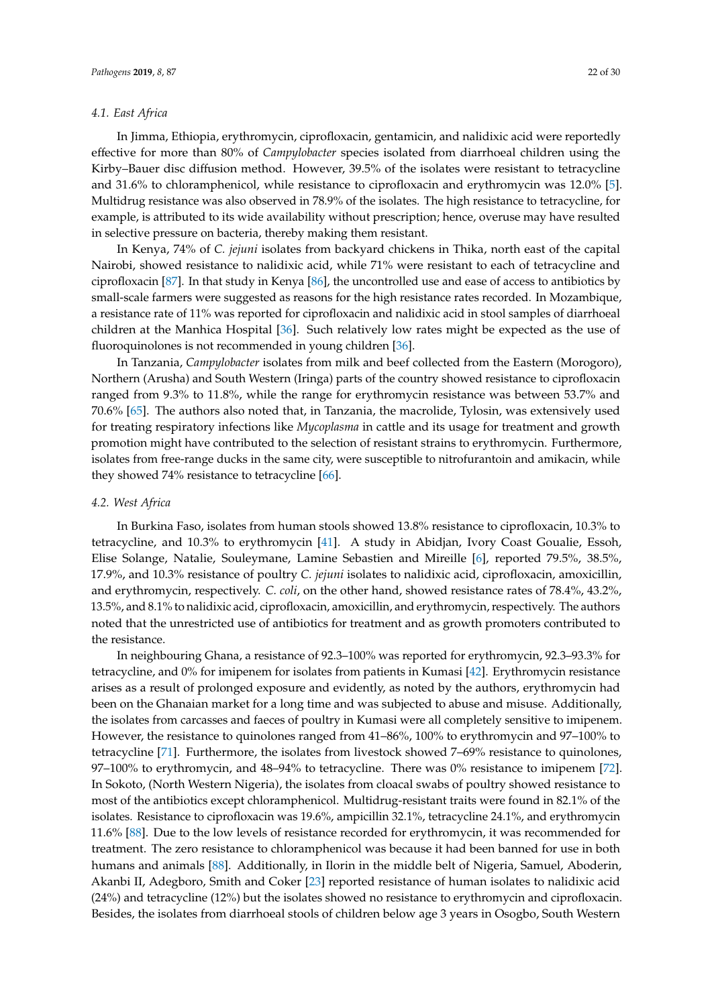## *4.1. East Africa*

In Jimma, Ethiopia, erythromycin, ciprofloxacin, gentamicin, and nalidixic acid were reportedly effective for more than 80% of *Campylobacter* species isolated from diarrhoeal children using the Kirby–Bauer disc diffusion method. However, 39.5% of the isolates were resistant to tetracycline and 31.6% to chloramphenicol, while resistance to ciprofloxacin and erythromycin was 12.0% [\[5\]](#page-25-18). Multidrug resistance was also observed in 78.9% of the isolates. The high resistance to tetracycline, for example, is attributed to its wide availability without prescription; hence, overuse may have resulted in selective pressure on bacteria, thereby making them resistant.

In Kenya, 74% of *C. jejuni* isolates from backyard chickens in Thika, north east of the capital Nairobi, showed resistance to nalidixic acid, while 71% were resistant to each of tetracycline and ciprofloxacin [\[87\]](#page-29-8). In that study in Kenya [\[86\]](#page-29-1), the uncontrolled use and ease of access to antibiotics by small-scale farmers were suggested as reasons for the high resistance rates recorded. In Mozambique, a resistance rate of 11% was reported for ciprofloxacin and nalidixic acid in stool samples of diarrhoeal children at the Manhica Hospital [\[36\]](#page-26-26). Such relatively low rates might be expected as the use of fluoroquinolones is not recommended in young children [\[36\]](#page-26-26).

In Tanzania, *Campylobacter* isolates from milk and beef collected from the Eastern (Morogoro), Northern (Arusha) and South Western (Iringa) parts of the country showed resistance to ciprofloxacin ranged from 9.3% to 11.8%, while the range for erythromycin resistance was between 53.7% and 70.6% [\[65\]](#page-28-19). The authors also noted that, in Tanzania, the macrolide, Tylosin, was extensively used for treating respiratory infections like *Mycoplasma* in cattle and its usage for treatment and growth promotion might have contributed to the selection of resistant strains to erythromycin. Furthermore, isolates from free-range ducks in the same city, were susceptible to nitrofurantoin and amikacin, while they showed 74% resistance to tetracycline [\[66\]](#page-28-35).

## *4.2. West Africa*

In Burkina Faso, isolates from human stools showed 13.8% resistance to ciprofloxacin, 10.3% to tetracycline, and 10.3% to erythromycin [\[41\]](#page-26-31). A study in Abidjan, Ivory Coast Goualie, Essoh, Elise Solange, Natalie, Souleymane, Lamine Sebastien and Mireille [\[6\]](#page-25-21), reported 79.5%, 38.5%, 17.9%, and 10.3% resistance of poultry *C. jejuni* isolates to nalidixic acid, ciprofloxacin, amoxicillin, and erythromycin, respectively. *C. coli*, on the other hand, showed resistance rates of 78.4%, 43.2%, 13.5%, and 8.1% to nalidixic acid, ciprofloxacin, amoxicillin, and erythromycin, respectively. The authors noted that the unrestricted use of antibiotics for treatment and as growth promoters contributed to the resistance.

In neighbouring Ghana, a resistance of 92.3–100% was reported for erythromycin, 92.3–93.3% for tetracycline, and 0% for imipenem for isolates from patients in Kumasi [\[42\]](#page-26-32). Erythromycin resistance arises as a result of prolonged exposure and evidently, as noted by the authors, erythromycin had been on the Ghanaian market for a long time and was subjected to abuse and misuse. Additionally, the isolates from carcasses and faeces of poultry in Kumasi were all completely sensitive to imipenem. However, the resistance to quinolones ranged from 41–86%, 100% to erythromycin and 97–100% to tetracycline [\[71\]](#page-28-15). Furthermore, the isolates from livestock showed 7–69% resistance to quinolones, 97–100% to erythromycin, and 48–94% to tetracycline. There was 0% resistance to imipenem [\[72\]](#page-28-16). In Sokoto, (North Western Nigeria), the isolates from cloacal swabs of poultry showed resistance to most of the antibiotics except chloramphenicol. Multidrug-resistant traits were found in 82.1% of the isolates. Resistance to ciprofloxacin was 19.6%, ampicillin 32.1%, tetracycline 24.1%, and erythromycin 11.6% [\[88\]](#page-29-9). Due to the low levels of resistance recorded for erythromycin, it was recommended for treatment. The zero resistance to chloramphenicol was because it had been banned for use in both humans and animals [\[88\]](#page-29-9). Additionally, in Ilorin in the middle belt of Nigeria, Samuel, Aboderin, Akanbi II, Adegboro, Smith and Coker [\[23\]](#page-26-1) reported resistance of human isolates to nalidixic acid (24%) and tetracycline (12%) but the isolates showed no resistance to erythromycin and ciprofloxacin. Besides, the isolates from diarrhoeal stools of children below age 3 years in Osogbo, South Western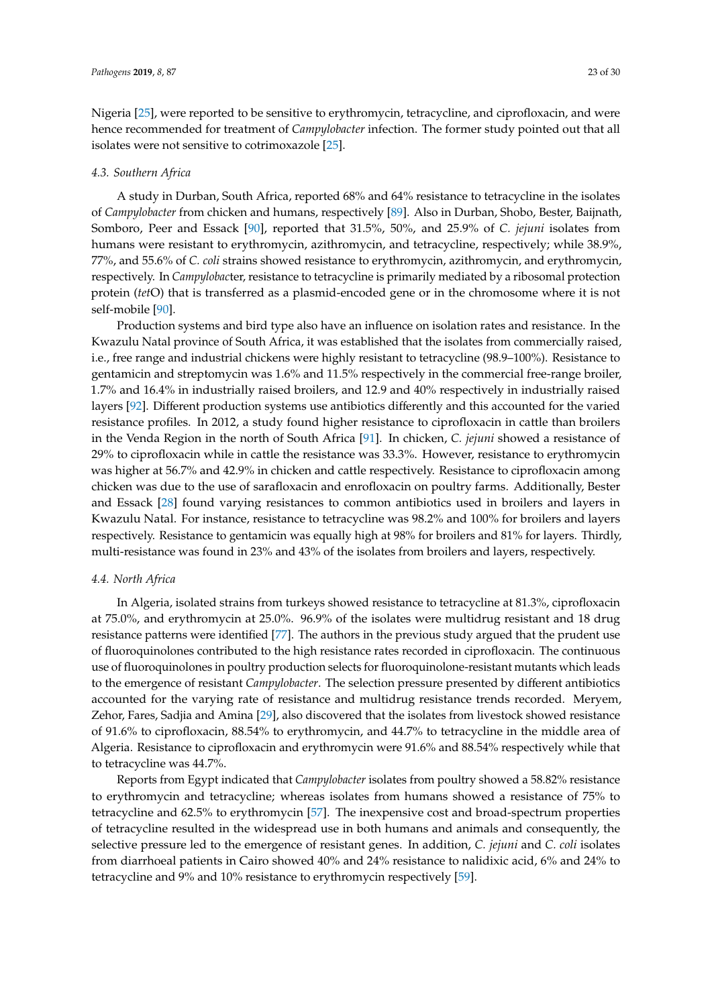Nigeria [\[25\]](#page-26-3), were reported to be sensitive to erythromycin, tetracycline, and ciprofloxacin, and were hence recommended for treatment of *Campylobacter* infection. The former study pointed out that all isolates were not sensitive to cotrimoxazole [\[25\]](#page-26-3).

#### *4.3. Southern Africa*

A study in Durban, South Africa, reported 68% and 64% resistance to tetracycline in the isolates of *Campylobacter* from chicken and humans, respectively [\[89\]](#page-29-10). Also in Durban, Shobo, Bester, Baijnath, Somboro, Peer and Essack [\[90\]](#page-29-11), reported that 31.5%, 50%, and 25.9% of *C. jejuni* isolates from humans were resistant to erythromycin, azithromycin, and tetracycline, respectively; while 38.9%, 77%, and 55.6% of *C. coli* strains showed resistance to erythromycin, azithromycin, and erythromycin, respectively. In *Campylobac*ter, resistance to tetracycline is primarily mediated by a ribosomal protection protein (*tet*O) that is transferred as a plasmid-encoded gene or in the chromosome where it is not self-mobile [\[90\]](#page-29-11).

Production systems and bird type also have an influence on isolation rates and resistance. In the Kwazulu Natal province of South Africa, it was established that the isolates from commercially raised, i.e., free range and industrial chickens were highly resistant to tetracycline (98.9–100%). Resistance to gentamicin and streptomycin was 1.6% and 11.5% respectively in the commercial free-range broiler, 1.7% and 16.4% in industrially raised broilers, and 12.9 and 40% respectively in industrially raised layers [\[92\]](#page-29-12). Different production systems use antibiotics differently and this accounted for the varied resistance profiles. In 2012, a study found higher resistance to ciprofloxacin in cattle than broilers in the Venda Region in the north of South Africa [\[91\]](#page-29-13). In chicken, *C. jejuni* showed a resistance of 29% to ciprofloxacin while in cattle the resistance was 33.3%. However, resistance to erythromycin was higher at 56.7% and 42.9% in chicken and cattle respectively. Resistance to ciprofloxacin among chicken was due to the use of sarafloxacin and enrofloxacin on poultry farms. Additionally, Bester and Essack [\[28\]](#page-26-36) found varying resistances to common antibiotics used in broilers and layers in Kwazulu Natal. For instance, resistance to tetracycline was 98.2% and 100% for broilers and layers respectively. Resistance to gentamicin was equally high at 98% for broilers and 81% for layers. Thirdly, multi-resistance was found in 23% and 43% of the isolates from broilers and layers, respectively.

#### *4.4. North Africa*

In Algeria, isolated strains from turkeys showed resistance to tetracycline at 81.3%, ciprofloxacin at 75.0%, and erythromycin at 25.0%. 96.9% of the isolates were multidrug resistant and 18 drug resistance patterns were identified [\[77\]](#page-28-28). The authors in the previous study argued that the prudent use of fluoroquinolones contributed to the high resistance rates recorded in ciprofloxacin. The continuous use of fluoroquinolones in poultry production selects for fluoroquinolone-resistant mutants which leads to the emergence of resistant *Campylobacter*. The selection pressure presented by different antibiotics accounted for the varying rate of resistance and multidrug resistance trends recorded. Meryem, Zehor, Fares, Sadjia and Amina [\[29\]](#page-26-6), also discovered that the isolates from livestock showed resistance of 91.6% to ciprofloxacin, 88.54% to erythromycin, and 44.7% to tetracycline in the middle area of Algeria. Resistance to ciprofloxacin and erythromycin were 91.6% and 88.54% respectively while that to tetracycline was 44.7%.

Reports from Egypt indicated that *Campylobacter* isolates from poultry showed a 58.82% resistance to erythromycin and tetracycline; whereas isolates from humans showed a resistance of 75% to tetracycline and 62.5% to erythromycin [\[57\]](#page-27-30). The inexpensive cost and broad-spectrum properties of tetracycline resulted in the widespread use in both humans and animals and consequently, the selective pressure led to the emergence of resistant genes. In addition, *C. jejuni* and *C. coli* isolates from diarrhoeal patients in Cairo showed 40% and 24% resistance to nalidixic acid, 6% and 24% to tetracycline and 9% and 10% resistance to erythromycin respectively [\[59\]](#page-27-32).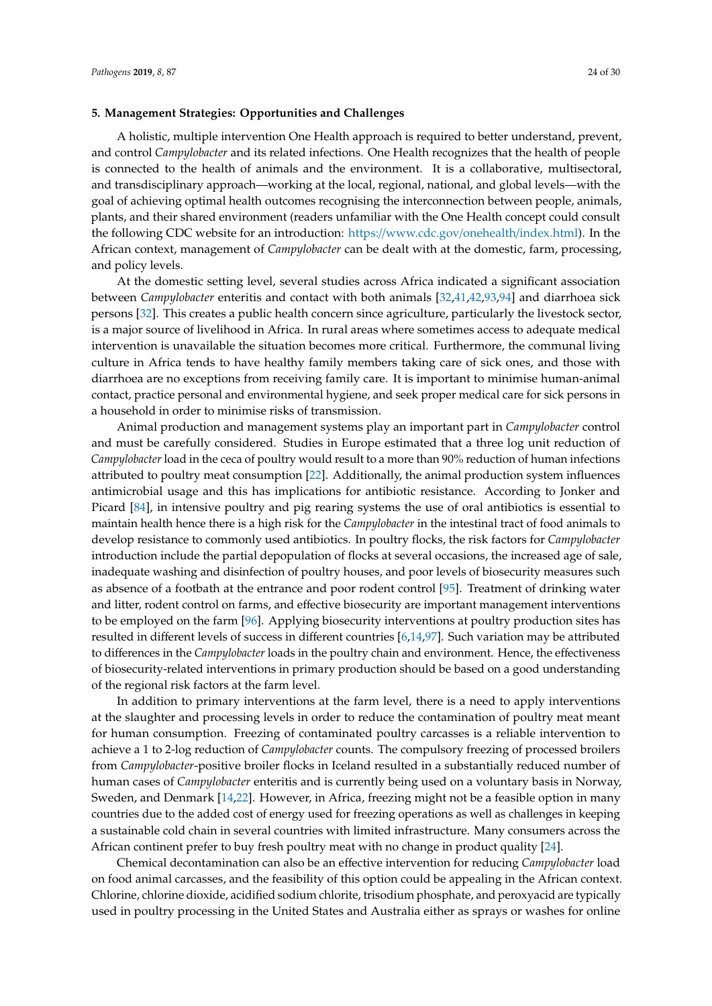# **5. Management Strategies: Opportunities and Challenges**

A holistic, multiple intervention One Health approach is required to better understand, prevent, and control *Campylobacter* and its related infections. One Health recognizes that the health of people is connected to the health of animals and the environment. It is a collaborative, multisectoral, and transdisciplinary approach—working at the local, regional, national, and global levels—with the goal of achieving optimal health outcomes recognising the interconnection between people, animals, plants, and their shared environment (readers unfamiliar with the One Health concept could consult the following CDC website for an introduction: https://[www.cdc.gov](https://www.cdc.gov/onehealth/index.html)/onehealth/index.html). In the African context, management of *Campylobacter* can be dealt with at the domestic, farm, processing, and policy levels.

At the domestic setting level, several studies across Africa indicated a significant association between *Campylobacter* enteritis and contact with both animals [\[32,](#page-26-37)[41,](#page-26-31)[42,](#page-26-32)[93,](#page-29-14)[94\]](#page-29-15) and diarrhoea sick persons [\[32\]](#page-26-37). This creates a public health concern since agriculture, particularly the livestock sector, is a major source of livelihood in Africa. In rural areas where sometimes access to adequate medical intervention is unavailable the situation becomes more critical. Furthermore, the communal living culture in Africa tends to have healthy family members taking care of sick ones, and those with diarrhoea are no exceptions from receiving family care. It is important to minimise human-animal contact, practice personal and environmental hygiene, and seek proper medical care for sick persons in a household in order to minimise risks of transmission.

Animal production and management systems play an important part in *Campylobacter* control and must be carefully considered. Studies in Europe estimated that a three log unit reduction of *Campylobacter* load in the ceca of poultry would result to a more than 90% reduction of human infections attributed to poultry meat consumption [\[22\]](#page-26-0). Additionally, the animal production system influences antimicrobial usage and this has implications for antibiotic resistance. According to Jonker and Picard [\[84\]](#page-28-34), in intensive poultry and pig rearing systems the use of oral antibiotics is essential to maintain health hence there is a high risk for the *Campylobacter* in the intestinal tract of food animals to develop resistance to commonly used antibiotics. In poultry flocks, the risk factors for *Campylobacter* introduction include the partial depopulation of flocks at several occasions, the increased age of sale, inadequate washing and disinfection of poultry houses, and poor levels of biosecurity measures such as absence of a footbath at the entrance and poor rodent control [\[95\]](#page-29-16). Treatment of drinking water and litter, rodent control on farms, and effective biosecurity are important management interventions to be employed on the farm [\[96\]](#page-29-17). Applying biosecurity interventions at poultry production sites has resulted in different levels of success in different countries [\[6,](#page-25-21)[14,](#page-25-10)[97\]](#page-29-18). Such variation may be attributed to differences in the *Campylobacter* loads in the poultry chain and environment. Hence, the effectiveness of biosecurity-related interventions in primary production should be based on a good understanding of the regional risk factors at the farm level.

In addition to primary interventions at the farm level, there is a need to apply interventions at the slaughter and processing levels in order to reduce the contamination of poultry meat meant for human consumption. Freezing of contaminated poultry carcasses is a reliable intervention to achieve a 1 to 2-log reduction of *Campylobacter* counts. The compulsory freezing of processed broilers from *Campylobacter*-positive broiler flocks in Iceland resulted in a substantially reduced number of human cases of *Campylobacter* enteritis and is currently being used on a voluntary basis in Norway, Sweden, and Denmark [\[14,](#page-25-10)[22\]](#page-26-0). However, in Africa, freezing might not be a feasible option in many countries due to the added cost of energy used for freezing operations as well as challenges in keeping a sustainable cold chain in several countries with limited infrastructure. Many consumers across the African continent prefer to buy fresh poultry meat with no change in product quality [\[24\]](#page-26-2).

Chemical decontamination can also be an effective intervention for reducing *Campylobacter* load on food animal carcasses, and the feasibility of this option could be appealing in the African context. Chlorine, chlorine dioxide, acidified sodium chlorite, trisodium phosphate, and peroxyacid are typically used in poultry processing in the United States and Australia either as sprays or washes for online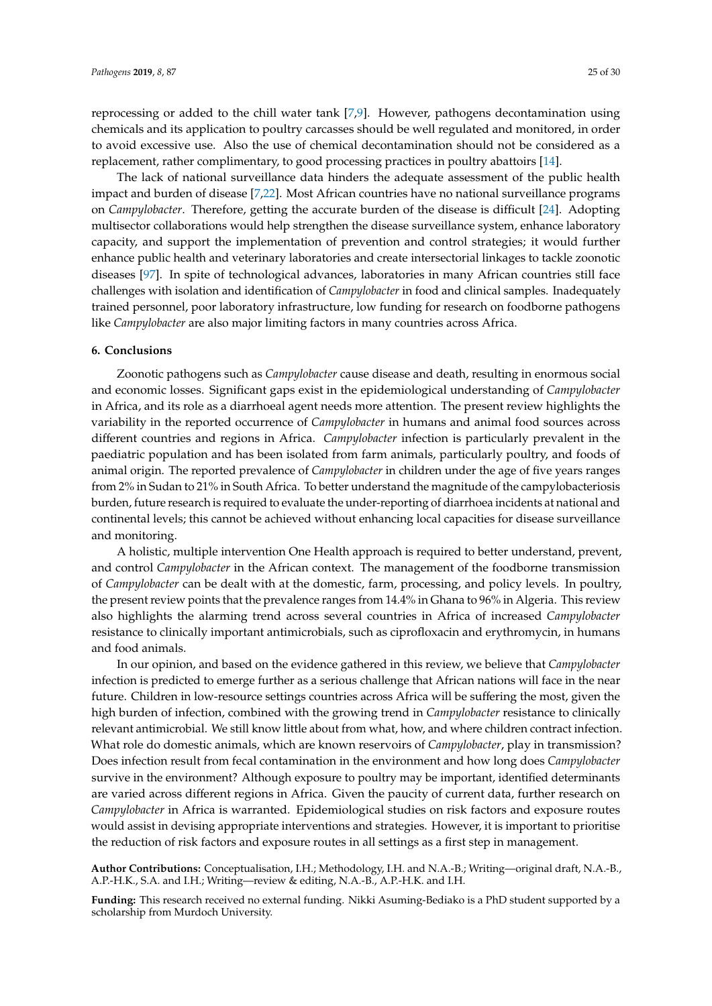reprocessing or added to the chill water tank [\[7,](#page-25-4)[9\]](#page-25-6). However, pathogens decontamination using chemicals and its application to poultry carcasses should be well regulated and monitored, in order to avoid excessive use. Also the use of chemical decontamination should not be considered as a replacement, rather complimentary, to good processing practices in poultry abattoirs [\[14\]](#page-25-10).

The lack of national surveillance data hinders the adequate assessment of the public health impact and burden of disease [\[7,](#page-25-4)[22\]](#page-26-0). Most African countries have no national surveillance programs on *Campylobacter*. Therefore, getting the accurate burden of the disease is difficult [\[24\]](#page-26-2). Adopting multisector collaborations would help strengthen the disease surveillance system, enhance laboratory capacity, and support the implementation of prevention and control strategies; it would further enhance public health and veterinary laboratories and create intersectorial linkages to tackle zoonotic diseases [\[97\]](#page-29-18). In spite of technological advances, laboratories in many African countries still face challenges with isolation and identification of *Campylobacter* in food and clinical samples. Inadequately trained personnel, poor laboratory infrastructure, low funding for research on foodborne pathogens like *Campylobacter* are also major limiting factors in many countries across Africa.

#### **6. Conclusions**

Zoonotic pathogens such as *Campylobacter* cause disease and death, resulting in enormous social and economic losses. Significant gaps exist in the epidemiological understanding of *Campylobacter* in Africa, and its role as a diarrhoeal agent needs more attention. The present review highlights the variability in the reported occurrence of *Campylobacter* in humans and animal food sources across different countries and regions in Africa. *Campylobacter* infection is particularly prevalent in the paediatric population and has been isolated from farm animals, particularly poultry, and foods of animal origin. The reported prevalence of *Campylobacter* in children under the age of five years ranges from 2% in Sudan to 21% in South Africa. To better understand the magnitude of the campylobacteriosis burden, future research is required to evaluate the under-reporting of diarrhoea incidents at national and continental levels; this cannot be achieved without enhancing local capacities for disease surveillance and monitoring.

A holistic, multiple intervention One Health approach is required to better understand, prevent, and control *Campylobacter* in the African context. The management of the foodborne transmission of *Campylobacter* can be dealt with at the domestic, farm, processing, and policy levels. In poultry, the present review points that the prevalence ranges from 14.4% in Ghana to 96% in Algeria. This review also highlights the alarming trend across several countries in Africa of increased *Campylobacter* resistance to clinically important antimicrobials, such as ciprofloxacin and erythromycin, in humans and food animals.

In our opinion, and based on the evidence gathered in this review, we believe that *Campylobacter* infection is predicted to emerge further as a serious challenge that African nations will face in the near future. Children in low-resource settings countries across Africa will be suffering the most, given the high burden of infection, combined with the growing trend in *Campylobacter* resistance to clinically relevant antimicrobial. We still know little about from what, how, and where children contract infection. What role do domestic animals, which are known reservoirs of *Campylobacter*, play in transmission? Does infection result from fecal contamination in the environment and how long does *Campylobacter* survive in the environment? Although exposure to poultry may be important, identified determinants are varied across different regions in Africa. Given the paucity of current data, further research on *Campylobacter* in Africa is warranted. Epidemiological studies on risk factors and exposure routes would assist in devising appropriate interventions and strategies. However, it is important to prioritise the reduction of risk factors and exposure routes in all settings as a first step in management.

**Author Contributions:** Conceptualisation, I.H.; Methodology, I.H. and N.A.-B.; Writing—original draft, N.A.-B., A.P.-H.K., S.A. and I.H.; Writing—review & editing, N.A.-B., A.P.-H.K. and I.H.

**Funding:** This research received no external funding. Nikki Asuming-Bediako is a PhD student supported by a scholarship from Murdoch University.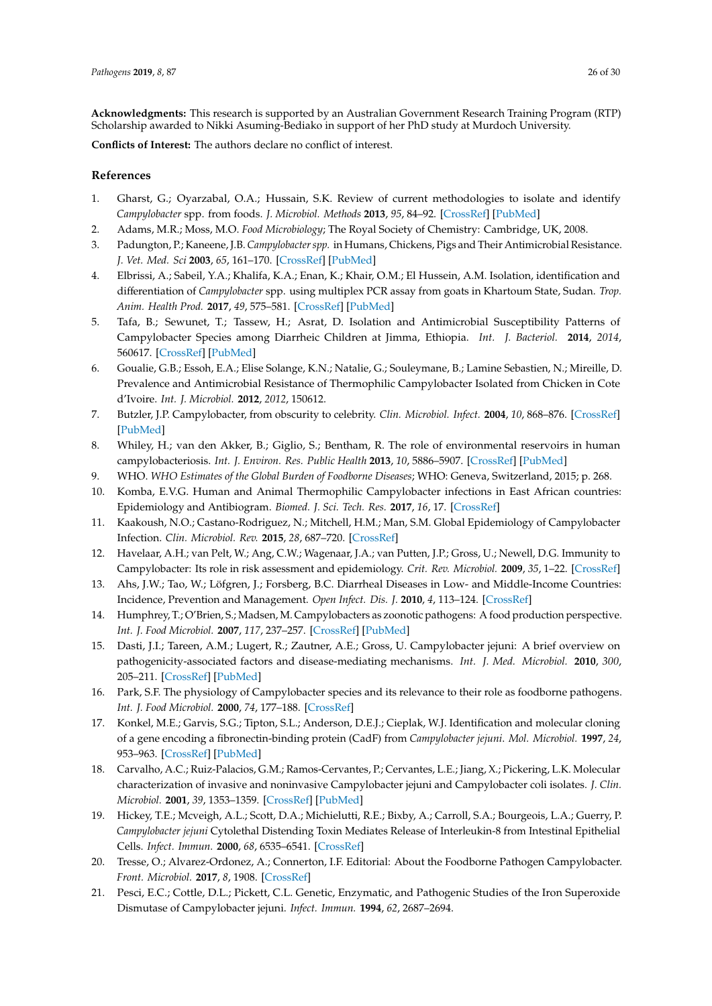<span id="page-25-20"></span><span id="page-25-19"></span>**Acknowledgments:** This research is supported by an Australian Government Research Training Program (RTP) Scholarship awarded to Nikki Asuming-Bediako in support of her PhD study at Murdoch University.

**Conflicts of Interest:** The authors declare no conflict of interest.

# **References**

- <span id="page-25-0"></span>1. Gharst, G.; Oyarzabal, O.A.; Hussain, S.K. Review of current methodologies to isolate and identify *Campylobacter* spp. from foods. *J. Microbiol. Methods* **2013**, *95*, 84–92. [\[CrossRef\]](http://dx.doi.org/10.1016/j.mimet.2013.07.014) [\[PubMed\]](http://www.ncbi.nlm.nih.gov/pubmed/23899774)
- <span id="page-25-2"></span>2. Adams, M.R.; Moss, M.O. *Food Microbiology*; The Royal Society of Chemistry: Cambridge, UK, 2008.
- <span id="page-25-1"></span>3. Padungton, P.; Kaneene, J.B. *Campylobacter spp.* in Humans, Chickens, Pigs and Their Antimicrobial Resistance. *J. Vet. Med. Sci* **2003**, *65*, 161–170. [\[CrossRef\]](http://dx.doi.org/10.1292/jvms.65.161) [\[PubMed\]](http://www.ncbi.nlm.nih.gov/pubmed/12655109)
- <span id="page-25-3"></span>4. Elbrissi, A.; Sabeil, Y.A.; Khalifa, K.A.; Enan, K.; Khair, O.M.; El Hussein, A.M. Isolation, identification and differentiation of *Campylobacter* spp. using multiplex PCR assay from goats in Khartoum State, Sudan. *Trop. Anim. Health Prod.* **2017**, *49*, 575–581. [\[CrossRef\]](http://dx.doi.org/10.1007/s11250-017-1231-x) [\[PubMed\]](http://www.ncbi.nlm.nih.gov/pubmed/28160162)
- <span id="page-25-18"></span>5. Tafa, B.; Sewunet, T.; Tassew, H.; Asrat, D. Isolation and Antimicrobial Susceptibility Patterns of Campylobacter Species among Diarrheic Children at Jimma, Ethiopia. *Int. J. Bacteriol.* **2014**, *2014*, 560617. [\[CrossRef\]](http://dx.doi.org/10.1155/2014/560617) [\[PubMed\]](http://www.ncbi.nlm.nih.gov/pubmed/26904735)
- <span id="page-25-21"></span>6. Goualie, G.B.; Essoh, E.A.; Elise Solange, K.N.; Natalie, G.; Souleymane, B.; Lamine Sebastien, N.; Mireille, D. Prevalence and Antimicrobial Resistance of Thermophilic Campylobacter Isolated from Chicken in Cote d'Ivoire. *Int. J. Microbiol.* **2012**, *2012*, 150612.
- <span id="page-25-4"></span>7. Butzler, J.P. Campylobacter, from obscurity to celebrity. *Clin. Microbiol. Infect.* **2004**, *10*, 868–876. [\[CrossRef\]](http://dx.doi.org/10.1111/j.1469-0691.2004.00983.x) [\[PubMed\]](http://www.ncbi.nlm.nih.gov/pubmed/15373879)
- <span id="page-25-5"></span>8. Whiley, H.; van den Akker, B.; Giglio, S.; Bentham, R. The role of environmental reservoirs in human campylobacteriosis. *Int. J. Environ. Res. Public Health* **2013**, *10*, 5886–5907. [\[CrossRef\]](http://dx.doi.org/10.3390/ijerph10115886) [\[PubMed\]](http://www.ncbi.nlm.nih.gov/pubmed/24217177)
- <span id="page-25-6"></span>9. WHO. *WHO Estimates of the Global Burden of Foodborne Diseases*; WHO: Geneva, Switzerland, 2015; p. 268.
- <span id="page-25-7"></span>10. Komba, E.V.G. Human and Animal Thermophilic Campylobacter infections in East African countries: Epidemiology and Antibiogram. *Biomed. J. Sci. Tech. Res.* **2017**, *16*, 17. [\[CrossRef\]](http://dx.doi.org/10.26717/BJSTR.2017.01.000411)
- 11. Kaakoush, N.O.; Castano-Rodriguez, N.; Mitchell, H.M.; Man, S.M. Global Epidemiology of Campylobacter Infection. *Clin. Microbiol. Rev.* **2015**, *28*, 687–720. [\[CrossRef\]](http://dx.doi.org/10.1128/CMR.00006-15)
- <span id="page-25-8"></span>12. Havelaar, A.H.; van Pelt, W.; Ang, C.W.; Wagenaar, J.A.; van Putten, J.P.; Gross, U.; Newell, D.G. Immunity to Campylobacter: Its role in risk assessment and epidemiology. *Crit. Rev. Microbiol.* **2009**, *35*, 1–22. [\[CrossRef\]](http://dx.doi.org/10.1080/10408410802636017)
- <span id="page-25-9"></span>13. Ahs, J.W.; Tao, W.; Löfgren, J.; Forsberg, B.C. Diarrheal Diseases in Low- and Middle-Income Countries: Incidence, Prevention and Management. *Open Infect. Dis. J.* **2010**, *4*, 113–124. [\[CrossRef\]](http://dx.doi.org/10.2174/1874279301004010113)
- <span id="page-25-10"></span>14. Humphrey, T.; O'Brien, S.; Madsen, M. Campylobacters as zoonotic pathogens: A food production perspective. *Int. J. Food Microbiol.* **2007**, *117*, 237–257. [\[CrossRef\]](http://dx.doi.org/10.1016/j.ijfoodmicro.2007.01.006) [\[PubMed\]](http://www.ncbi.nlm.nih.gov/pubmed/17368847)
- <span id="page-25-11"></span>15. Dasti, J.I.; Tareen, A.M.; Lugert, R.; Zautner, A.E.; Gross, U. Campylobacter jejuni: A brief overview on pathogenicity-associated factors and disease-mediating mechanisms. *Int. J. Med. Microbiol.* **2010**, *300*, 205–211. [\[CrossRef\]](http://dx.doi.org/10.1016/j.ijmm.2009.07.002) [\[PubMed\]](http://www.ncbi.nlm.nih.gov/pubmed/19665925)
- <span id="page-25-12"></span>16. Park, S.F. The physiology of Campylobacter species and its relevance to their role as foodborne pathogens. *Int. J. Food Microbiol.* **2000**, *74*, 177–188. [\[CrossRef\]](http://dx.doi.org/10.1016/S0168-1605(01)00678-X)
- <span id="page-25-13"></span>17. Konkel, M.E.; Garvis, S.G.; Tipton, S.L.; Anderson, D.E.J.; Cieplak, W.J. Identification and molecular cloning of a gene encoding a fibronectin-binding protein (CadF) from *Campylobacter jejuni*. *Mol. Microbiol.* **1997**, *24*, 953–963. [\[CrossRef\]](http://dx.doi.org/10.1046/j.1365-2958.1997.4031771.x) [\[PubMed\]](http://www.ncbi.nlm.nih.gov/pubmed/9220003)
- <span id="page-25-14"></span>18. Carvalho, A.C.; Ruiz-Palacios, G.M.; Ramos-Cervantes, P.; Cervantes, L.E.; Jiang, X.; Pickering, L.K. Molecular characterization of invasive and noninvasive Campylobacter jejuni and Campylobacter coli isolates. *J. Clin. Microbiol.* **2001**, *39*, 1353–1359. [\[CrossRef\]](http://dx.doi.org/10.1128/JCM.39.4.1353-1359.2001) [\[PubMed\]](http://www.ncbi.nlm.nih.gov/pubmed/11283056)
- <span id="page-25-15"></span>19. Hickey, T.E.; Mcveigh, A.L.; Scott, D.A.; Michielutti, R.E.; Bixby, A.; Carroll, S.A.; Bourgeois, L.A.; Guerry, P. *Campylobacter jejuni* Cytolethal Distending Toxin Mediates Release of Interleukin-8 from Intestinal Epithelial Cells. *Infect. Immun.* **2000**, *68*, 6535–6541. [\[CrossRef\]](http://dx.doi.org/10.1128/IAI.68.12.6535-6541.2000)
- <span id="page-25-16"></span>20. Tresse, O.; Alvarez-Ordonez, A.; Connerton, I.F. Editorial: About the Foodborne Pathogen Campylobacter. *Front. Microbiol.* **2017**, *8*, 1908. [\[CrossRef\]](http://dx.doi.org/10.3389/fmicb.2017.01908)
- <span id="page-25-17"></span>21. Pesci, E.C.; Cottle, D.L.; Pickett, C.L. Genetic, Enzymatic, and Pathogenic Studies of the Iron Superoxide Dismutase of Campylobacter jejuni. *Infect. Immun.* **1994**, *62*, 2687–2694.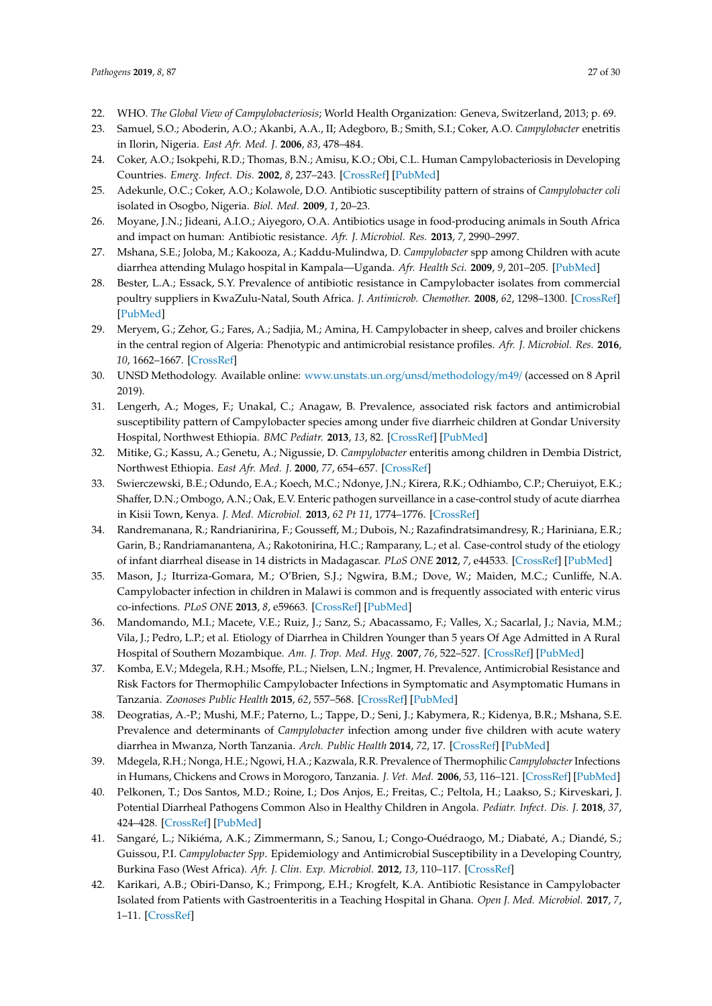- <span id="page-26-35"></span><span id="page-26-34"></span><span id="page-26-33"></span><span id="page-26-21"></span><span id="page-26-17"></span><span id="page-26-8"></span><span id="page-26-0"></span>22. WHO. *The Global View of Campylobacteriosis*; World Health Organization: Geneva, Switzerland, 2013; p. 69.
- <span id="page-26-1"></span>23. Samuel, S.O.; Aboderin, A.O.; Akanbi, A.A., II; Adegboro, B.; Smith, S.I.; Coker, A.O. *Campylobacter* enetritis in Ilorin, Nigeria. *East Afr. Med. J.* **2006**, *83*, 478–484.
- <span id="page-26-9"></span><span id="page-26-2"></span>24. Coker, A.O.; Isokpehi, R.D.; Thomas, B.N.; Amisu, K.O.; Obi, C.L. Human Campylobacteriosis in Developing Countries. *Emerg. Infect. Dis.* **2002**, *8*, 237–243. [\[CrossRef\]](http://dx.doi.org/10.3201/eid0803.010233) [\[PubMed\]](http://www.ncbi.nlm.nih.gov/pubmed/11927019)
- <span id="page-26-10"></span><span id="page-26-3"></span>25. Adekunle, O.C.; Coker, A.O.; Kolawole, D.O. Antibiotic susceptibility pattern of strains of *Campylobacter coli* isolated in Osogbo, Nigeria. *Biol. Med.* **2009**, *1*, 20–23.
- <span id="page-26-11"></span><span id="page-26-4"></span>26. Moyane, J.N.; Jideani, A.I.O.; Aiyegoro, O.A. Antibiotics usage in food-producing animals in South Africa and impact on human: Antibiotic resistance. *Afr. J. Microbiol. Res.* **2013**, *7*, 2990–2997.
- <span id="page-26-5"></span>27. Mshana, S.E.; Joloba, M.; Kakooza, A.; Kaddu-Mulindwa, D. *Campylobacter* spp among Children with acute diarrhea attending Mulago hospital in Kampala—Uganda. *Afr. Health Sci.* **2009**, *9*, 201–205. [\[PubMed\]](http://www.ncbi.nlm.nih.gov/pubmed/20589152)
- <span id="page-26-36"></span><span id="page-26-12"></span>28. Bester, L.A.; Essack, S.Y. Prevalence of antibiotic resistance in Campylobacter isolates from commercial poultry suppliers in KwaZulu-Natal, South Africa. *J. Antimicrob. Chemother.* **2008**, *62*, 1298–1300. [\[CrossRef\]](http://dx.doi.org/10.1093/jac/dkn408) [\[PubMed\]](http://www.ncbi.nlm.nih.gov/pubmed/18819970)
- <span id="page-26-13"></span><span id="page-26-6"></span>29. Meryem, G.; Zehor, G.; Fares, A.; Sadjia, M.; Amina, H. Campylobacter in sheep, calves and broiler chickens in the central region of Algeria: Phenotypic and antimicrobial resistance profiles. *Afr. J. Microbiol. Res.* **2016**, *10*, 1662–1667. [\[CrossRef\]](http://dx.doi.org/10.5897/AJMR2016.8238)
- <span id="page-26-14"></span><span id="page-26-7"></span>30. UNSD Methodology. Available online: [www.unstats.un.org](www.unstats.un.org/unsd/methodology/m49/)/unsd/methodology/m49/ (accessed on 8 April 2019).
- <span id="page-26-22"></span><span id="page-26-15"></span>31. Lengerh, A.; Moges, F.; Unakal, C.; Anagaw, B. Prevalence, associated risk factors and antimicrobial susceptibility pattern of Campylobacter species among under five diarrheic children at Gondar University Hospital, Northwest Ethiopia. *BMC Pediatr.* **2013**, *13*, 82. [\[CrossRef\]](http://dx.doi.org/10.1186/1471-2431-13-82) [\[PubMed\]](http://www.ncbi.nlm.nih.gov/pubmed/23694714)
- <span id="page-26-37"></span><span id="page-26-16"></span>32. Mitike, G.; Kassu, A.; Genetu, A.; Nigussie, D. *Campylobacter* enteritis among children in Dembia District, Northwest Ethiopia. *East Afr. Med. J.* **2000**, *77*, 654–657. [\[CrossRef\]](http://dx.doi.org/10.4314/eamj.v77i12.46764)
- <span id="page-26-23"></span><span id="page-26-18"></span>33. Swierczewski, B.E.; Odundo, E.A.; Koech, M.C.; Ndonye, J.N.; Kirera, R.K.; Odhiambo, C.P.; Cheruiyot, E.K.; Shaffer, D.N.; Ombogo, A.N.; Oak, E.V. Enteric pathogen surveillance in a case-control study of acute diarrhea in Kisii Town, Kenya. *J. Med. Microbiol.* **2013**, *62 Pt 11*, 1774–1776. [\[CrossRef\]](http://dx.doi.org/10.1099/jmm.0.059139-0)
- <span id="page-26-24"></span><span id="page-26-19"></span>34. Randremanana, R.; Randrianirina, F.; Gousseff, M.; Dubois, N.; Razafindratsimandresy, R.; Hariniana, E.R.; Garin, B.; Randriamanantena, A.; Rakotonirina, H.C.; Ramparany, L.; et al. Case-control study of the etiology of infant diarrheal disease in 14 districts in Madagascar. *PLoS ONE* **2012**, *7*, e44533. [\[CrossRef\]](http://dx.doi.org/10.1371/journal.pone.0044533) [\[PubMed\]](http://www.ncbi.nlm.nih.gov/pubmed/23028555)
- <span id="page-26-25"></span><span id="page-26-20"></span>35. Mason, J.; Iturriza-Gomara, M.; O'Brien, S.J.; Ngwira, B.M.; Dove, W.; Maiden, M.C.; Cunliffe, N.A. Campylobacter infection in children in Malawi is common and is frequently associated with enteric virus co-infections. *PLoS ONE* **2013**, *8*, e59663. [\[CrossRef\]](http://dx.doi.org/10.1371/journal.pone.0059663) [\[PubMed\]](http://www.ncbi.nlm.nih.gov/pubmed/23555739)
- <span id="page-26-26"></span>36. Mandomando, M.I.; Macete, V.E.; Ruiz, J.; Sanz, S.; Abacassamo, F.; Valles, X.; Sacarlal, J.; Navia, M.M.; Vila, J.; Pedro, L.P.; et al. Etiology of Diarrhea in Children Younger than 5 years Of Age Admitted in A Rural Hospital of Southern Mozambique. *Am. J. Trop. Med. Hyg.* **2007**, *76*, 522–527. [\[CrossRef\]](http://dx.doi.org/10.4269/ajtmh.2007.76.522) [\[PubMed\]](http://www.ncbi.nlm.nih.gov/pubmed/17360878)
- <span id="page-26-27"></span>37. Komba, E.V.; Mdegela, R.H.; Msoffe, P.L.; Nielsen, L.N.; Ingmer, H. Prevalence, Antimicrobial Resistance and Risk Factors for Thermophilic Campylobacter Infections in Symptomatic and Asymptomatic Humans in Tanzania. *Zoonoses Public Health* **2015**, *62*, 557–568. [\[CrossRef\]](http://dx.doi.org/10.1111/zph.12185) [\[PubMed\]](http://www.ncbi.nlm.nih.gov/pubmed/25753615)
- <span id="page-26-28"></span>38. Deogratias, A.-P.; Mushi, M.F.; Paterno, L.; Tappe, D.; Seni, J.; Kabymera, R.; Kidenya, B.R.; Mshana, S.E. Prevalence and determinants of *Campylobacter* infection among under five children with acute watery diarrhea in Mwanza, North Tanzania. *Arch. Public Health* **2014**, *72*, 17. [\[CrossRef\]](http://dx.doi.org/10.1186/2049-3258-72-17) [\[PubMed\]](http://www.ncbi.nlm.nih.gov/pubmed/24932408)
- <span id="page-26-29"></span>39. Mdegela, R.H.; Nonga, H.E.; Ngowi, H.A.; Kazwala, R.R. Prevalence of Thermophilic *Campylobacter*Infections in Humans, Chickens and Crows in Morogoro, Tanzania. *J. Vet. Med.* **2006**, *53*, 116–121. [\[CrossRef\]](http://dx.doi.org/10.1111/j.1439-0450.2006.00926.x) [\[PubMed\]](http://www.ncbi.nlm.nih.gov/pubmed/16629722)
- <span id="page-26-30"></span>40. Pelkonen, T.; Dos Santos, M.D.; Roine, I.; Dos Anjos, E.; Freitas, C.; Peltola, H.; Laakso, S.; Kirveskari, J. Potential Diarrheal Pathogens Common Also in Healthy Children in Angola. *Pediatr. Infect. Dis. J.* **2018**, *37*, 424–428. [\[CrossRef\]](http://dx.doi.org/10.1097/INF.0000000000001781) [\[PubMed\]](http://www.ncbi.nlm.nih.gov/pubmed/28885460)
- <span id="page-26-31"></span>41. Sangaré, L.; Nikiéma, A.K.; Zimmermann, S.; Sanou, I.; Congo-Ouédraogo, M.; Diabaté, A.; Diandé, S.; Guissou, P.I. *Campylobacter Spp*. Epidemiology and Antimicrobial Susceptibility in a Developing Country, Burkina Faso (West Africa). *Afr. J. Clin. Exp. Microbiol.* **2012**, *13*, 110–117. [\[CrossRef\]](http://dx.doi.org/10.4314/ajcem.v13i2.9)
- <span id="page-26-32"></span>42. Karikari, A.B.; Obiri-Danso, K.; Frimpong, E.H.; Krogfelt, K.A. Antibiotic Resistance in Campylobacter Isolated from Patients with Gastroenteritis in a Teaching Hospital in Ghana. *Open J. Med. Microbiol.* **2017**, *7*, 1–11. [\[CrossRef\]](http://dx.doi.org/10.4236/ojmm.2017.71001)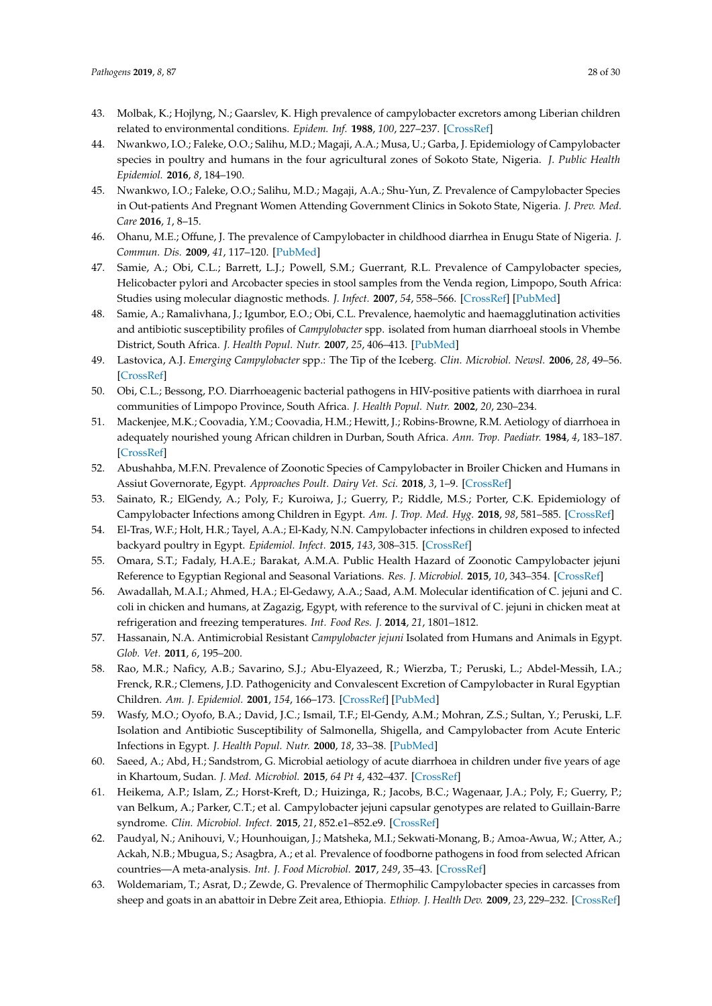- <span id="page-27-19"></span><span id="page-27-8"></span><span id="page-27-7"></span><span id="page-27-6"></span><span id="page-27-5"></span><span id="page-27-4"></span><span id="page-27-3"></span><span id="page-27-2"></span><span id="page-27-1"></span><span id="page-27-0"></span>43. Molbak, K.; Hojlyng, N.; Gaarslev, K. High prevalence of campylobacter excretors among Liberian children related to environmental conditions. *Epidem. Inf.* **1988**, *100*, 227–237. [\[CrossRef\]](http://dx.doi.org/10.1017/S0950268800067364)
- <span id="page-27-20"></span><span id="page-27-9"></span>44. Nwankwo, I.O.; Faleke, O.O.; Salihu, M.D.; Magaji, A.A.; Musa, U.; Garba, J. Epidemiology of Campylobacter species in poultry and humans in the four agricultural zones of Sokoto State, Nigeria. *J. Public Health Epidemiol.* **2016**, *8*, 184–190.
- <span id="page-27-21"></span><span id="page-27-10"></span>45. Nwankwo, I.O.; Faleke, O.O.; Salihu, M.D.; Magaji, A.A.; Shu-Yun, Z. Prevalence of Campylobacter Species in Out-patients And Pregnant Women Attending Government Clinics in Sokoto State, Nigeria. *J. Prev. Med. Care* **2016**, *1*, 8–15.
- <span id="page-27-11"></span>46. Ohanu, M.E.; Offune, J. The prevalence of Campylobacter in childhood diarrhea in Enugu State of Nigeria. *J. Commun. Dis.* **2009**, *41*, 117–120. [\[PubMed\]](http://www.ncbi.nlm.nih.gov/pubmed/22010500)
- <span id="page-27-22"></span><span id="page-27-13"></span><span id="page-27-12"></span>47. Samie, A.; Obi, C.L.; Barrett, L.J.; Powell, S.M.; Guerrant, R.L. Prevalence of Campylobacter species, Helicobacter pylori and Arcobacter species in stool samples from the Venda region, Limpopo, South Africa: Studies using molecular diagnostic methods. *J. Infect.* **2007**, *54*, 558–566. [\[CrossRef\]](http://dx.doi.org/10.1016/j.jinf.2006.10.047) [\[PubMed\]](http://www.ncbi.nlm.nih.gov/pubmed/17145081)
- <span id="page-27-23"></span><span id="page-27-14"></span>48. Samie, A.; Ramalivhana, J.; Igumbor, E.O.; Obi, C.L. Prevalence, haemolytic and haemagglutination activities and antibiotic susceptibility profiles of *Campylobacter* spp. isolated from human diarrhoeal stools in Vhembe District, South Africa. *J. Health Popul. Nutr.* **2007**, *25*, 406–413. [\[PubMed\]](http://www.ncbi.nlm.nih.gov/pubmed/18402183)
- <span id="page-27-24"></span><span id="page-27-15"></span>49. Lastovica, A.J. *Emerging Campylobacter* spp.: The Tip of the Iceberg. *Clin. Microbiol. Newsl.* **2006**, *28*, 49–56. [\[CrossRef\]](http://dx.doi.org/10.1016/j.clinmicnews.2006.03.004)
- <span id="page-27-25"></span>50. Obi, C.L.; Bessong, P.O. Diarrhoeagenic bacterial pathogens in HIV-positive patients with diarrhoea in rural communities of Limpopo Province, South Africa. *J. Health Popul. Nutr.* **2002**, *20*, 230–234.
- <span id="page-27-16"></span>51. Mackenjee, M.K.; Coovadia, Y.M.; Coovadia, H.M.; Hewitt, J.; Robins-Browne, R.M. Aetiology of diarrhoea in adequately nourished young African children in Durban, South Africa. *Ann. Trop. Paediatr.* **1984**, *4*, 183–187. [\[CrossRef\]](http://dx.doi.org/10.1080/02724936.1984.11755417)
- <span id="page-27-26"></span><span id="page-27-17"></span>52. Abushahba, M.F.N. Prevalence of Zoonotic Species of Campylobacter in Broiler Chicken and Humans in Assiut Governorate, Egypt. *Approaches Poult. Dairy Vet. Sci.* **2018**, *3*, 1–9. [\[CrossRef\]](http://dx.doi.org/10.31031/APDV.2018.03.000568)
- <span id="page-27-27"></span>53. Sainato, R.; ElGendy, A.; Poly, F.; Kuroiwa, J.; Guerry, P.; Riddle, M.S.; Porter, C.K. Epidemiology of Campylobacter Infections among Children in Egypt. *Am. J. Trop. Med. Hyg.* **2018**, *98*, 581–585. [\[CrossRef\]](http://dx.doi.org/10.4269/ajtmh.17-0469)
- <span id="page-27-28"></span>54. El-Tras, W.F.; Holt, H.R.; Tayel, A.A.; El-Kady, N.N. Campylobacter infections in children exposed to infected backyard poultry in Egypt. *Epidemiol. Infect.* **2015**, *143*, 308–315. [\[CrossRef\]](http://dx.doi.org/10.1017/S095026881400096X)
- <span id="page-27-36"></span>55. Omara, S.T.; Fadaly, H.A.E.; Barakat, A.M.A. Public Health Hazard of Zoonotic Campylobacter jejuni Reference to Egyptian Regional and Seasonal Variations. *Res. J. Microbiol.* **2015**, *10*, 343–354. [\[CrossRef\]](http://dx.doi.org/10.3923/jm.2015.343.354)
- <span id="page-27-29"></span>56. Awadallah, M.A.I.; Ahmed, H.A.; El-Gedawy, A.A.; Saad, A.M. Molecular identification of C. jejuni and C. coli in chicken and humans, at Zagazig, Egypt, with reference to the survival of C. jejuni in chicken meat at refrigeration and freezing temperatures. *Int. Food Res. J.* **2014**, *21*, 1801–1812.
- <span id="page-27-30"></span>57. Hassanain, N.A. Antimicrobial Resistant *Campylobacter jejuni* Isolated from Humans and Animals in Egypt. *Glob. Vet.* **2011**, *6*, 195–200.
- <span id="page-27-31"></span>58. Rao, M.R.; Naficy, A.B.; Savarino, S.J.; Abu-Elyazeed, R.; Wierzba, T.; Peruski, L.; Abdel-Messih, I.A.; Frenck, R.R.; Clemens, J.D. Pathogenicity and Convalescent Excretion of Campylobacter in Rural Egyptian Children. *Am. J. Epidemiol.* **2001**, *154*, 166–173. [\[CrossRef\]](http://dx.doi.org/10.1093/aje/154.2.166) [\[PubMed\]](http://www.ncbi.nlm.nih.gov/pubmed/11447051)
- <span id="page-27-32"></span>59. Wasfy, M.O.; Oyofo, B.A.; David, J.C.; Ismail, T.F.; El-Gendy, A.M.; Mohran, Z.S.; Sultan, Y.; Peruski, L.F. Isolation and Antibiotic Susceptibility of Salmonella, Shigella, and Campylobacter from Acute Enteric Infections in Egypt. *J. Health Popul. Nutr.* **2000**, *18*, 33–38. [\[PubMed\]](http://www.ncbi.nlm.nih.gov/pubmed/11014768)
- <span id="page-27-33"></span>60. Saeed, A.; Abd, H.; Sandstrom, G. Microbial aetiology of acute diarrhoea in children under five years of age in Khartoum, Sudan. *J. Med. Microbiol.* **2015**, *64 Pt 4*, 432–437. [\[CrossRef\]](http://dx.doi.org/10.1099/jmm.0.000043)
- <span id="page-27-18"></span>61. Heikema, A.P.; Islam, Z.; Horst-Kreft, D.; Huizinga, R.; Jacobs, B.C.; Wagenaar, J.A.; Poly, F.; Guerry, P.; van Belkum, A.; Parker, C.T.; et al. Campylobacter jejuni capsular genotypes are related to Guillain-Barre syndrome. *Clin. Microbiol. Infect.* **2015**, *21*, 852.e1–852.e9. [\[CrossRef\]](http://dx.doi.org/10.1016/j.cmi.2015.05.031)
- <span id="page-27-34"></span>62. Paudyal, N.; Anihouvi, V.; Hounhouigan, J.; Matsheka, M.I.; Sekwati-Monang, B.; Amoa-Awua, W.; Atter, A.; Ackah, N.B.; Mbugua, S.; Asagbra, A.; et al. Prevalence of foodborne pathogens in food from selected African countries—A meta-analysis. *Int. J. Food Microbiol.* **2017**, *249*, 35–43. [\[CrossRef\]](http://dx.doi.org/10.1016/j.ijfoodmicro.2017.03.002)
- <span id="page-27-35"></span>63. Woldemariam, T.; Asrat, D.; Zewde, G. Prevalence of Thermophilic Campylobacter species in carcasses from sheep and goats in an abattoir in Debre Zeit area, Ethiopia. *Ethiop. J. Health Dev.* **2009**, *23*, 229–232. [\[CrossRef\]](http://dx.doi.org/10.4314/ejhd.v23i3.53245)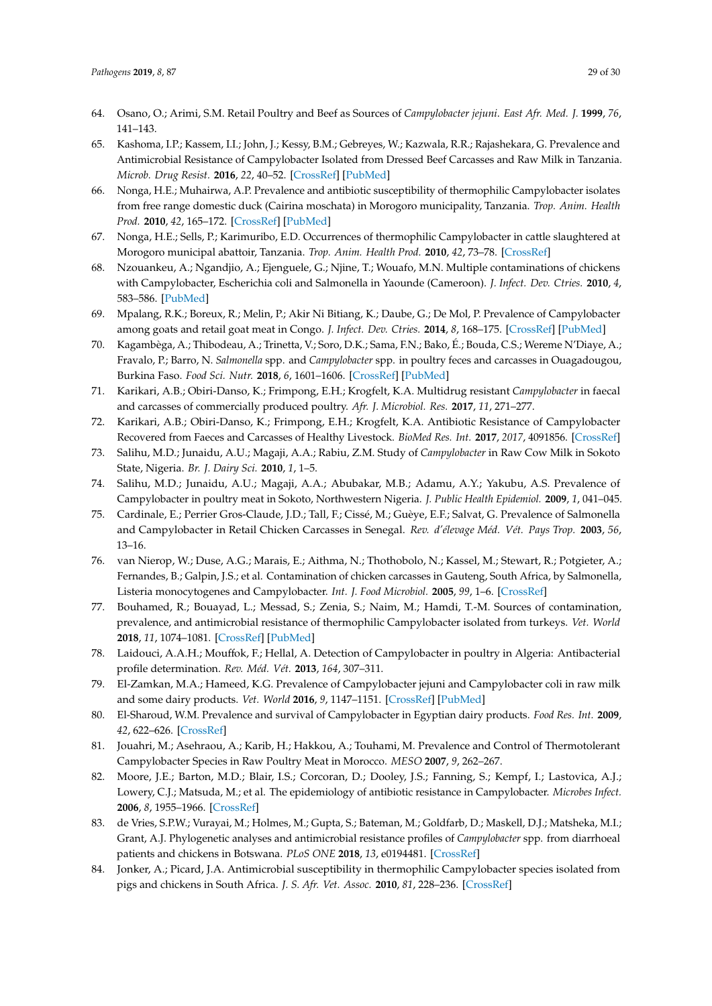- <span id="page-28-18"></span><span id="page-28-8"></span><span id="page-28-7"></span><span id="page-28-6"></span><span id="page-28-5"></span><span id="page-28-4"></span><span id="page-28-3"></span><span id="page-28-2"></span><span id="page-28-1"></span><span id="page-28-0"></span>64. Osano, O.; Arimi, S.M. Retail Poultry and Beef as Sources of *Campylobacter jejuni*. *East Afr. Med. J.* **1999**, *76*, 141–143.
- <span id="page-28-19"></span><span id="page-28-9"></span>65. Kashoma, I.P.; Kassem, I.I.; John, J.; Kessy, B.M.; Gebreyes, W.; Kazwala, R.R.; Rajashekara, G. Prevalence and Antimicrobial Resistance of Campylobacter Isolated from Dressed Beef Carcasses and Raw Milk in Tanzania. *Microb. Drug Resist.* **2016**, *22*, 40–52. [\[CrossRef\]](http://dx.doi.org/10.1089/mdr.2015.0079) [\[PubMed\]](http://www.ncbi.nlm.nih.gov/pubmed/26153978)
- <span id="page-28-35"></span><span id="page-28-10"></span>66. Nonga, H.E.; Muhairwa, A.P. Prevalence and antibiotic susceptibility of thermophilic Campylobacter isolates from free range domestic duck (Cairina moschata) in Morogoro municipality, Tanzania. *Trop. Anim. Health Prod.* **2010**, *42*, 165–172. [\[CrossRef\]](http://dx.doi.org/10.1007/s11250-009-9401-0) [\[PubMed\]](http://www.ncbi.nlm.nih.gov/pubmed/19562499)
- <span id="page-28-20"></span><span id="page-28-11"></span>67. Nonga, H.E.; Sells, P.; Karimuribo, E.D. Occurrences of thermophilic Campylobacter in cattle slaughtered at Morogoro municipal abattoir, Tanzania. *Trop. Anim. Health Prod.* **2010**, *42*, 73–78. [\[CrossRef\]](http://dx.doi.org/10.1007/s11250-009-9387-7)
- <span id="page-28-21"></span><span id="page-28-12"></span>68. Nzouankeu, A.; Ngandjio, A.; Ejenguele, G.; Njine, T.; Wouafo, M.N. Multiple contaminations of chickens with Campylobacter, Escherichia coli and Salmonella in Yaounde (Cameroon). *J. Infect. Dev. Ctries.* **2010**, *4*, 583–586. [\[PubMed\]](http://www.ncbi.nlm.nih.gov/pubmed/21045373)
- <span id="page-28-22"></span><span id="page-28-13"></span>69. Mpalang, R.K.; Boreux, R.; Melin, P.; Akir Ni Bitiang, K.; Daube, G.; De Mol, P. Prevalence of Campylobacter among goats and retail goat meat in Congo. *J. Infect. Dev. Ctries.* **2014**, *8*, 168–175. [\[CrossRef\]](http://dx.doi.org/10.3855/jidc.3199) [\[PubMed\]](http://www.ncbi.nlm.nih.gov/pubmed/24518626)
- <span id="page-28-23"></span><span id="page-28-14"></span>70. Kagambèga, A.; Thibodeau, A.; Trinetta, V.; Soro, D.K.; Sama, F.N.; Bako, É.; Bouda, C.S.; Wereme N'Diaye, A.; Fravalo, P.; Barro, N. *Salmonella* spp. and *Campylobacter* spp. in poultry feces and carcasses in Ouagadougou, Burkina Faso. *Food Sci. Nutr.* **2018**, *6*, 1601–1606. [\[CrossRef\]](http://dx.doi.org/10.1002/fsn3.725) [\[PubMed\]](http://www.ncbi.nlm.nih.gov/pubmed/30258603)
- <span id="page-28-15"></span>71. Karikari, A.B.; Obiri-Danso, K.; Frimpong, E.H.; Krogfelt, K.A. Multidrug resistant *Campylobacter* in faecal and carcasses of commercially produced poultry. *Afr. J. Microbiol. Res.* **2017**, *11*, 271–277.
- <span id="page-28-16"></span>72. Karikari, A.B.; Obiri-Danso, K.; Frimpong, E.H.; Krogfelt, K.A. Antibiotic Resistance of Campylobacter Recovered from Faeces and Carcasses of Healthy Livestock. *BioMed Res. Int.* **2017**, *2017*, 4091856. [\[CrossRef\]](http://dx.doi.org/10.1155/2017/4091856)
- <span id="page-28-24"></span><span id="page-28-17"></span>73. Salihu, M.D.; Junaidu, A.U.; Magaji, A.A.; Rabiu, Z.M. Study of *Campylobacter* in Raw Cow Milk in Sokoto State, Nigeria. *Br. J. Dairy Sci.* **2010**, *1*, 1–5.
- <span id="page-28-25"></span>74. Salihu, M.D.; Junaidu, A.U.; Magaji, A.A.; Abubakar, M.B.; Adamu, A.Y.; Yakubu, A.S. Prevalence of Campylobacter in poultry meat in Sokoto, Northwestern Nigeria. *J. Public Health Epidemiol.* **2009**, *1*, 041–045.
- <span id="page-28-26"></span>75. Cardinale, E.; Perrier Gros-Claude, J.D.; Tall, F.; Cissé, M.; Guèye, E.F.; Salvat, G. Prevalence of Salmonella and Campylobacter in Retail Chicken Carcasses in Senegal. *Rev. d'élevage Méd. Vét. Pays Trop.* **2003**, *56*, 13–16.
- <span id="page-28-27"></span>76. van Nierop, W.; Duse, A.G.; Marais, E.; Aithma, N.; Thothobolo, N.; Kassel, M.; Stewart, R.; Potgieter, A.; Fernandes, B.; Galpin, J.S.; et al. Contamination of chicken carcasses in Gauteng, South Africa, by Salmonella, Listeria monocytogenes and Campylobacter. *Int. J. Food Microbiol.* **2005**, *99*, 1–6. [\[CrossRef\]](http://dx.doi.org/10.1016/j.ijfoodmicro.2004.06.009)
- <span id="page-28-28"></span>77. Bouhamed, R.; Bouayad, L.; Messad, S.; Zenia, S.; Naim, M.; Hamdi, T.-M. Sources of contamination, prevalence, and antimicrobial resistance of thermophilic Campylobacter isolated from turkeys. *Vet. World* **2018**, *11*, 1074–1081. [\[CrossRef\]](http://dx.doi.org/10.14202/vetworld.2018.1074-1081) [\[PubMed\]](http://www.ncbi.nlm.nih.gov/pubmed/30250366)
- <span id="page-28-29"></span>78. Laidouci, A.A.H.; Mouffok, F.; Hellal, A. Detection of Campylobacter in poultry in Algeria: Antibacterial profile determination. *Rev. Méd. Vét.* **2013**, *164*, 307–311.
- <span id="page-28-30"></span>79. El-Zamkan, M.A.; Hameed, K.G. Prevalence of Campylobacter jejuni and Campylobacter coli in raw milk and some dairy products. *Vet. World* **2016**, *9*, 1147–1151. [\[CrossRef\]](http://dx.doi.org/10.14202/vetworld.2016.1147-1151) [\[PubMed\]](http://www.ncbi.nlm.nih.gov/pubmed/27847427)
- <span id="page-28-31"></span>80. El-Sharoud, W.M. Prevalence and survival of Campylobacter in Egyptian dairy products. *Food Res. Int.* **2009**, *42*, 622–626. [\[CrossRef\]](http://dx.doi.org/10.1016/j.foodres.2009.01.009)
- <span id="page-28-32"></span>81. Jouahri, M.; Asehraou, A.; Karib, H.; Hakkou, A.; Touhami, M. Prevalence and Control of Thermotolerant Campylobacter Species in Raw Poultry Meat in Morocco. *MESO* **2007**, *9*, 262–267.
- <span id="page-28-33"></span>82. Moore, J.E.; Barton, M.D.; Blair, I.S.; Corcoran, D.; Dooley, J.S.; Fanning, S.; Kempf, I.; Lastovica, A.J.; Lowery, C.J.; Matsuda, M.; et al. The epidemiology of antibiotic resistance in Campylobacter. *Microbes Infect.* **2006**, *8*, 1955–1966. [\[CrossRef\]](http://dx.doi.org/10.1016/j.micinf.2005.12.030)
- 83. de Vries, S.P.W.; Vurayai, M.; Holmes, M.; Gupta, S.; Bateman, M.; Goldfarb, D.; Maskell, D.J.; Matsheka, M.I.; Grant, A.J. Phylogenetic analyses and antimicrobial resistance profiles of *Campylobacter* spp. from diarrhoeal patients and chickens in Botswana. *PLoS ONE* **2018**, *13*, e0194481. [\[CrossRef\]](http://dx.doi.org/10.1371/journal.pone.0194481)
- <span id="page-28-34"></span>84. Jonker, A.; Picard, J.A. Antimicrobial susceptibility in thermophilic Campylobacter species isolated from pigs and chickens in South Africa. *J. S. Afr. Vet. Assoc.* **2010**, *81*, 228–236. [\[CrossRef\]](http://dx.doi.org/10.4102/jsava.v81i4.153)